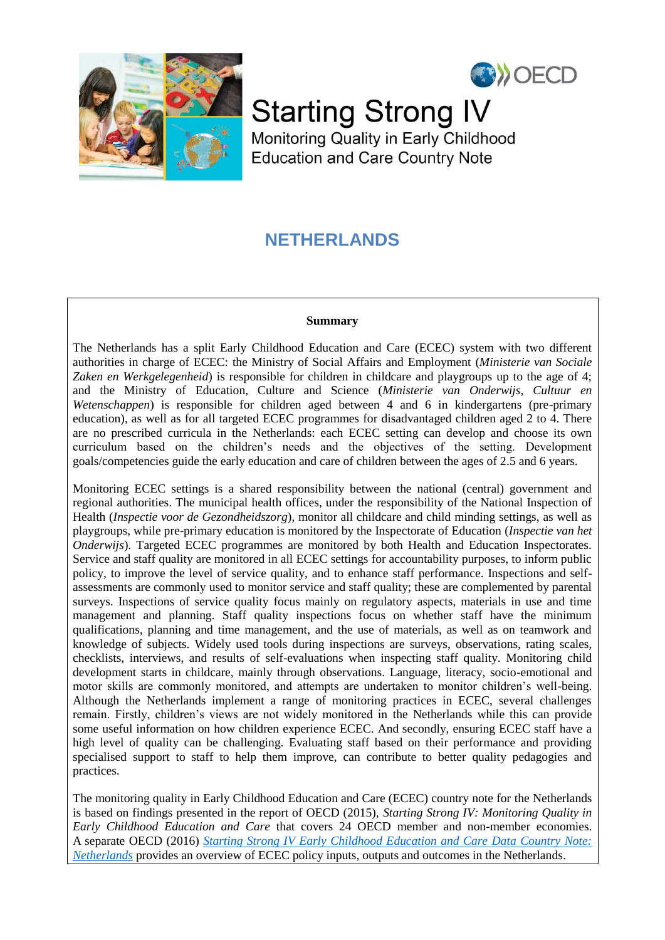



**Starting Strong IV** 

Monitoring Quality in Early Childhood **Education and Care Country Note** 

# **NETHERLANDS**

# **Summary**

The Netherlands has a split Early Childhood Education and Care (ECEC) system with two different authorities in charge of ECEC: the Ministry of Social Affairs and Employment (*Ministerie van Sociale Zaken en Werkgelegenheid*) is responsible for children in childcare and playgroups up to the age of 4; and the Ministry of Education, Culture and Science (*Ministerie van Onderwijs, Cultuur en Wetenschappen*) is responsible for children aged between 4 and 6 in kindergartens (pre-primary education), as well as for all targeted ECEC programmes for disadvantaged children aged 2 to 4. There are no prescribed curricula in the Netherlands: each ECEC setting can develop and choose its own curriculum based on the children's needs and the objectives of the setting. Development goals/competencies guide the early education and care of children between the ages of 2.5 and 6 years.

Monitoring ECEC settings is a shared responsibility between the national (central) government and regional authorities. The municipal health offices, under the responsibility of the National Inspection of Health (*Inspectie voor de Gezondheidszorg*), monitor all childcare and child minding settings, as well as playgroups, while pre-primary education is monitored by the Inspectorate of Education (*Inspectie van het Onderwijs*). Targeted ECEC programmes are monitored by both Health and Education Inspectorates. Service and staff quality are monitored in all ECEC settings for accountability purposes, to inform public policy, to improve the level of service quality, and to enhance staff performance. Inspections and selfassessments are commonly used to monitor service and staff quality; these are complemented by parental surveys. Inspections of service quality focus mainly on regulatory aspects, materials in use and time management and planning. Staff quality inspections focus on whether staff have the minimum qualifications, planning and time management, and the use of materials, as well as on teamwork and knowledge of subjects. Widely used tools during inspections are surveys, observations, rating scales, checklists, interviews, and results of self-evaluations when inspecting staff quality. Monitoring child development starts in childcare, mainly through observations. Language, literacy, socio-emotional and motor skills are commonly monitored, and attempts are undertaken to monitor children's well-being. Although the Netherlands implement a range of monitoring practices in ECEC, several challenges remain. Firstly, children's views are not widely monitored in the Netherlands while this can provide some useful information on how children experience ECEC. And secondly, ensuring ECEC staff have a high level of quality can be challenging. Evaluating staff based on their performance and providing specialised support to staff to help them improve, can contribute to better quality pedagogies and practices.

The monitoring quality in Early Childhood Education and Care (ECEC) country note for the Netherlands is based on findings presented in the report of OECD (2015), *Starting Strong IV: Monitoring Quality in Early Childhood Education and Care* that covers 24 OECD member and non-member economies. A separate OECD (2016) *[Starting Strong IV Early Childhood Education and Care Data Country Note:](http://www.oecd.org/edu/school/ECECDCN-Netherlands.pdf)  [Netherlands](http://www.oecd.org/edu/school/ECECDCN-Netherlands.pdf)* provides an overview of ECEC policy inputs, outputs and outcomes in the Netherlands.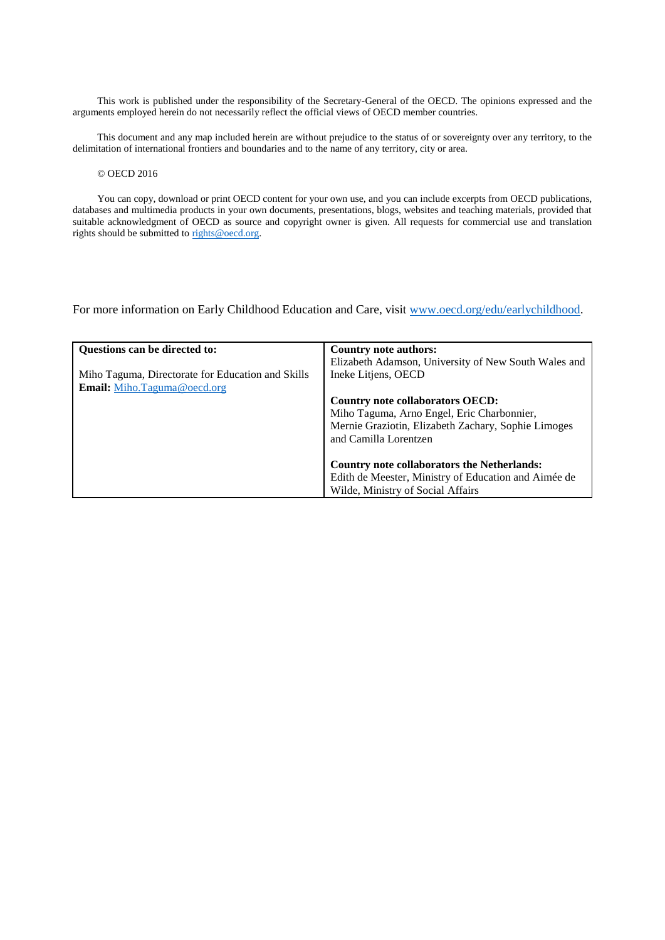This work is published under the responsibility of the Secretary-General of the OECD. The opinions expressed and the arguments employed herein do not necessarily reflect the official views of OECD member countries.

This document and any map included herein are without prejudice to the status of or sovereignty over any territory, to the delimitation of international frontiers and boundaries and to the name of any territory, city or area.

#### © OECD 2016

You can copy, download or print OECD content for your own use, and you can include excerpts from OECD publications, databases and multimedia products in your own documents, presentations, blogs, websites and teaching materials, provided that suitable acknowledgment of OECD as source and copyright owner is given. All requests for commercial use and translation rights should be submitted to [rights@oecd.org.](mailto:rights@oecd.org)

For more information on Early Childhood Education and Care, visit [www.oecd.org/edu/earlychildhood.](http://www.oecd.org/edu/earlychildhood)

| Questions can be directed to:                                                    | <b>Country note authors:</b><br>Elizabeth Adamson, University of New South Wales and                                                                           |
|----------------------------------------------------------------------------------|----------------------------------------------------------------------------------------------------------------------------------------------------------------|
| Miho Taguma, Directorate for Education and Skills<br>Email: Miho.Taguma@oecd.org | Ineke Litjens, OECD                                                                                                                                            |
|                                                                                  | Country note collaborators OECD:<br>Miho Taguma, Arno Engel, Eric Charbonnier,<br>Mernie Graziotin, Elizabeth Zachary, Sophie Limoges<br>and Camilla Lorentzen |
|                                                                                  | Country note collaborators the Netherlands:<br>Edith de Meester, Ministry of Education and Aimée de<br>Wilde, Ministry of Social Affairs                       |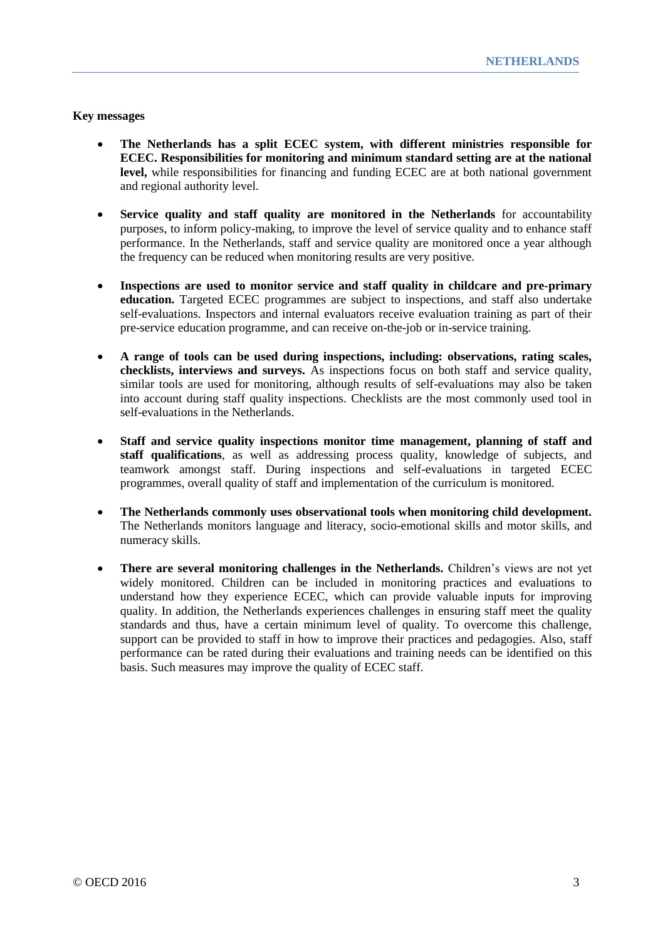# **Key messages**

- **The Netherlands has a split ECEC system, with different ministries responsible for ECEC. Responsibilities for monitoring and minimum standard setting are at the national level,** while responsibilities for financing and funding ECEC are at both national government and regional authority level.
- **Service quality and staff quality are monitored in the Netherlands** for accountability purposes, to inform policy-making, to improve the level of service quality and to enhance staff performance. In the Netherlands, staff and service quality are monitored once a year although the frequency can be reduced when monitoring results are very positive.
- **Inspections are used to monitor service and staff quality in childcare and pre-primary education.** Targeted ECEC programmes are subject to inspections, and staff also undertake self-evaluations. Inspectors and internal evaluators receive evaluation training as part of their pre-service education programme, and can receive on-the-job or in-service training.
- **A range of tools can be used during inspections, including: observations, rating scales, checklists, interviews and surveys.** As inspections focus on both staff and service quality, similar tools are used for monitoring, although results of self-evaluations may also be taken into account during staff quality inspections. Checklists are the most commonly used tool in self-evaluations in the Netherlands.
- **Staff and service quality inspections monitor time management, planning of staff and staff qualifications**, as well as addressing process quality, knowledge of subjects, and teamwork amongst staff. During inspections and self-evaluations in targeted ECEC programmes, overall quality of staff and implementation of the curriculum is monitored.
- **The Netherlands commonly uses observational tools when monitoring child development.**  The Netherlands monitors language and literacy, socio-emotional skills and motor skills, and numeracy skills.
- **There are several monitoring challenges in the Netherlands.** Children's views are not yet widely monitored. Children can be included in monitoring practices and evaluations to understand how they experience ECEC, which can provide valuable inputs for improving quality. In addition, the Netherlands experiences challenges in ensuring staff meet the quality standards and thus, have a certain minimum level of quality. To overcome this challenge, support can be provided to staff in how to improve their practices and pedagogies. Also, staff performance can be rated during their evaluations and training needs can be identified on this basis. Such measures may improve the quality of ECEC staff.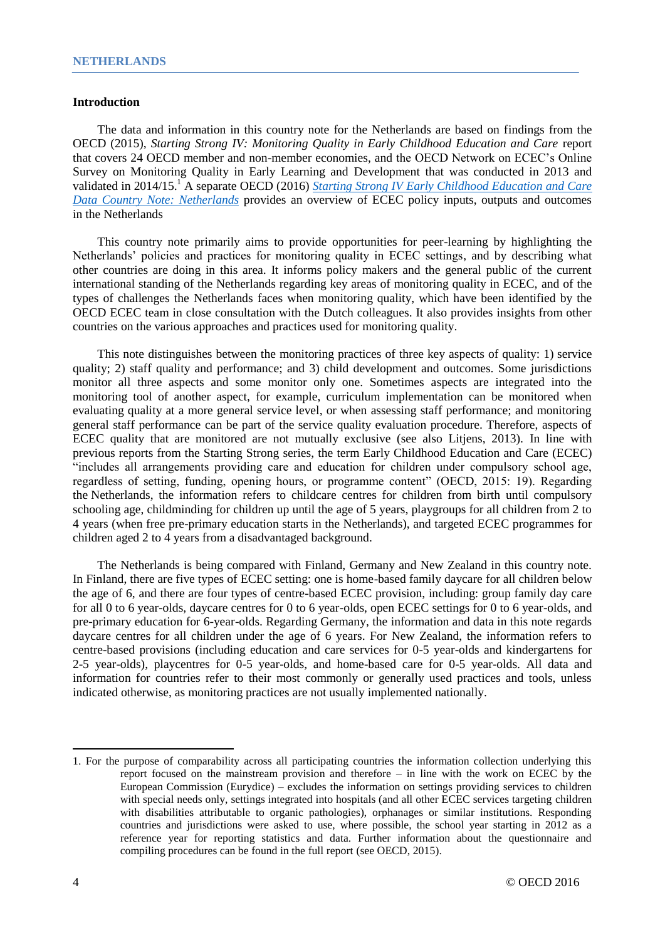## **Introduction**

The data and information in this country note for the Netherlands are based on findings from the OECD (2015), *Starting Strong IV: Monitoring Quality in Early Childhood Education and Care* report that covers 24 OECD member and non-member economies, and the OECD Network on ECEC's Online Survey on Monitoring Quality in Early Learning and Development that was conducted in 2013 and validated in 2014/15.<sup>1</sup> A separate OECD (2016) *Starting Strong IV Early Childhood Education and Care [Data Country Note: Netherlands](http://www.oecd.org/edu/school/ECECDCN-Netherlands.pdf)* provides an overview of ECEC policy inputs, outputs and outcomes in the Netherlands

This country note primarily aims to provide opportunities for peer-learning by highlighting the Netherlands' policies and practices for monitoring quality in ECEC settings, and by describing what other countries are doing in this area. It informs policy makers and the general public of the current international standing of the Netherlands regarding key areas of monitoring quality in ECEC, and of the types of challenges the Netherlands faces when monitoring quality, which have been identified by the OECD ECEC team in close consultation with the Dutch colleagues. It also provides insights from other countries on the various approaches and practices used for monitoring quality.

This note distinguishes between the monitoring practices of three key aspects of quality: 1) service quality; 2) staff quality and performance; and 3) child development and outcomes. Some jurisdictions monitor all three aspects and some monitor only one. Sometimes aspects are integrated into the monitoring tool of another aspect, for example, curriculum implementation can be monitored when evaluating quality at a more general service level, or when assessing staff performance; and monitoring general staff performance can be part of the service quality evaluation procedure. Therefore, aspects of ECEC quality that are monitored are not mutually exclusive (see also Litjens, 2013). In line with previous reports from the Starting Strong series, the term Early Childhood Education and Care (ECEC) "includes all arrangements providing care and education for children under compulsory school age, regardless of setting, funding, opening hours, or programme content" (OECD, 2015: 19). Regarding the Netherlands, the information refers to childcare centres for children from birth until compulsory schooling age, childminding for children up until the age of 5 years, playgroups for all children from 2 to 4 years (when free pre-primary education starts in the Netherlands), and targeted ECEC programmes for children aged 2 to 4 years from a disadvantaged background.

The Netherlands is being compared with Finland, Germany and New Zealand in this country note. In Finland, there are five types of ECEC setting: one is home-based family daycare for all children below the age of 6, and there are four types of centre-based ECEC provision, including: group family day care for all 0 to 6 year-olds, daycare centres for 0 to 6 year-olds, open ECEC settings for 0 to 6 year-olds, and pre-primary education for 6-year-olds. Regarding Germany, the information and data in this note regards daycare centres for all children under the age of 6 years. For New Zealand, the information refers to centre-based provisions (including education and care services for 0-5 year-olds and kindergartens for 2-5 year-olds), playcentres for 0-5 year-olds, and home-based care for 0-5 year-olds. All data and information for countries refer to their most commonly or generally used practices and tools, unless indicated otherwise, as monitoring practices are not usually implemented nationally.

<sup>1.</sup> For the purpose of comparability across all participating countries the information collection underlying this report focused on the mainstream provision and therefore – in line with the work on ECEC by the European Commission (Eurydice) – excludes the information on settings providing services to children with special needs only, settings integrated into hospitals (and all other ECEC services targeting children with disabilities attributable to organic pathologies), orphanages or similar institutions. Responding countries and jurisdictions were asked to use, where possible, the school year starting in 2012 as a reference year for reporting statistics and data. Further information about the questionnaire and compiling procedures can be found in the full report (see OECD, 2015).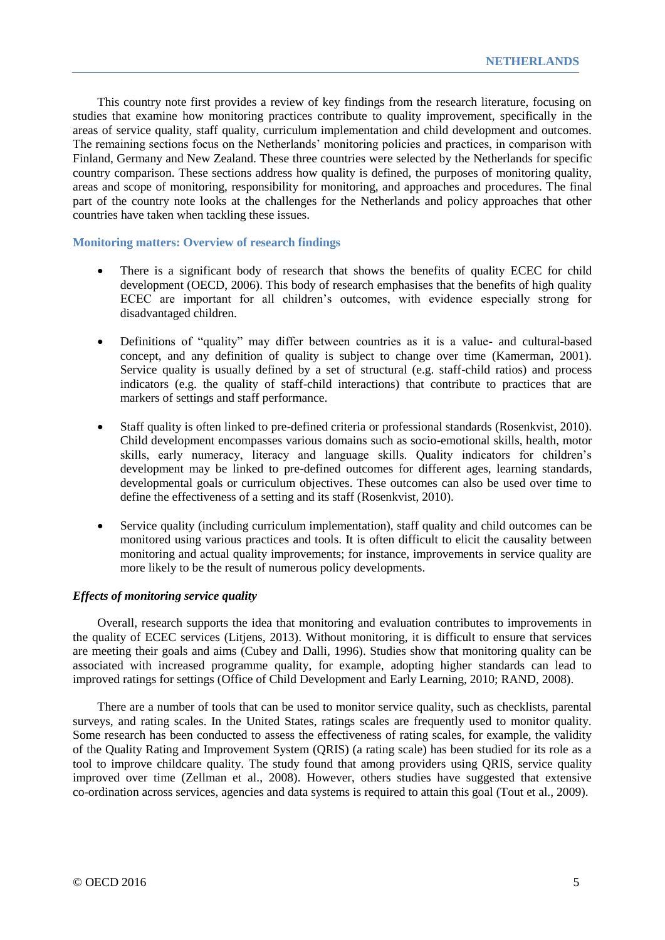This country note first provides a review of key findings from the research literature, focusing on studies that examine how monitoring practices contribute to quality improvement, specifically in the areas of service quality, staff quality, curriculum implementation and child development and outcomes. The remaining sections focus on the Netherlands' monitoring policies and practices, in comparison with Finland, Germany and New Zealand. These three countries were selected by the Netherlands for specific country comparison. These sections address how quality is defined, the purposes of monitoring quality, areas and scope of monitoring, responsibility for monitoring, and approaches and procedures. The final part of the country note looks at the challenges for the Netherlands and policy approaches that other countries have taken when tackling these issues.

# **Monitoring matters: Overview of research findings**

- There is a significant body of research that shows the benefits of quality ECEC for child development (OECD, 2006). This body of research emphasises that the benefits of high quality ECEC are important for all children's outcomes, with evidence especially strong for disadvantaged children.
- Definitions of "quality" may differ between countries as it is a value- and cultural-based concept, and any definition of quality is subject to change over time (Kamerman, 2001). Service quality is usually defined by a set of structural (e.g. staff-child ratios) and process indicators (e.g. the quality of staff-child interactions) that contribute to practices that are markers of settings and staff performance.
- Staff quality is often linked to pre-defined criteria or professional standards (Rosenkvist, 2010). Child development encompasses various domains such as socio-emotional skills, health, motor skills, early numeracy, literacy and language skills. Quality indicators for children's development may be linked to pre-defined outcomes for different ages, learning standards, developmental goals or curriculum objectives. These outcomes can also be used over time to define the effectiveness of a setting and its staff (Rosenkvist, 2010).
- Service quality (including curriculum implementation), staff quality and child outcomes can be monitored using various practices and tools. It is often difficult to elicit the causality between monitoring and actual quality improvements; for instance, improvements in service quality are more likely to be the result of numerous policy developments.

# *Effects of monitoring service quality*

Overall, research supports the idea that monitoring and evaluation contributes to improvements in the quality of ECEC services (Litjens, 2013). Without monitoring, it is difficult to ensure that services are meeting their goals and aims (Cubey and Dalli, 1996). Studies show that monitoring quality can be associated with increased programme quality, for example, adopting higher standards can lead to improved ratings for settings (Office of Child Development and Early Learning, 2010; RAND, 2008).

There are a number of tools that can be used to monitor service quality, such as checklists, parental surveys, and rating scales. In the United States, ratings scales are frequently used to monitor quality. Some research has been conducted to assess the effectiveness of rating scales, for example, the validity of the Quality Rating and Improvement System (QRIS) (a rating scale) has been studied for its role as a tool to improve childcare quality. The study found that among providers using QRIS, service quality improved over time (Zellman et al., 2008). However, others studies have suggested that extensive co-ordination across services, agencies and data systems is required to attain this goal (Tout et al., 2009).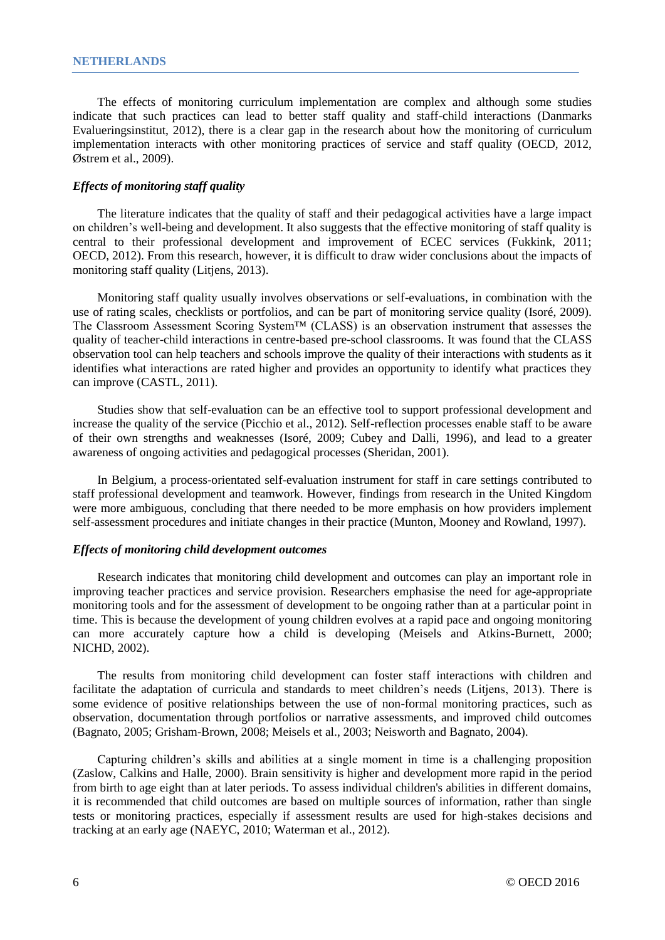The effects of monitoring curriculum implementation are complex and although some studies indicate that such practices can lead to better staff quality and staff-child interactions (Danmarks Evalueringsinstitut, 2012), there is a clear gap in the research about how the monitoring of curriculum implementation interacts with other monitoring practices of service and staff quality (OECD, 2012, Østrem et al., 2009).

#### *Effects of monitoring staff quality*

The literature indicates that the quality of staff and their pedagogical activities have a large impact on children's well-being and development. It also suggests that the effective monitoring of staff quality is central to their professional development and improvement of ECEC services (Fukkink, 2011; OECD, 2012). From this research, however, it is difficult to draw wider conclusions about the impacts of monitoring staff quality (Litjens, 2013).

Monitoring staff quality usually involves observations or self-evaluations, in combination with the use of rating scales, checklists or portfolios, and can be part of monitoring service quality (Isoré, 2009). The Classroom Assessment Scoring System™ (CLASS) is an observation instrument that assesses the quality of teacher-child interactions in centre-based pre-school classrooms. It was found that the CLASS observation tool can help teachers and schools improve the quality of their interactions with students as it identifies what interactions are rated higher and provides an opportunity to identify what practices they can improve (CASTL, 2011).

Studies show that self-evaluation can be an effective tool to support professional development and increase the quality of the service (Picchio et al., 2012). Self-reflection processes enable staff to be aware of their own strengths and weaknesses (Isoré, 2009; Cubey and Dalli, 1996), and lead to a greater awareness of ongoing activities and pedagogical processes (Sheridan, 2001).

In Belgium, a process-orientated self-evaluation instrument for staff in care settings contributed to staff professional development and teamwork. However, findings from research in the United Kingdom were more ambiguous, concluding that there needed to be more emphasis on how providers implement self-assessment procedures and initiate changes in their practice (Munton, Mooney and Rowland, 1997).

#### *Effects of monitoring child development outcomes*

Research indicates that monitoring child development and outcomes can play an important role in improving teacher practices and service provision. Researchers emphasise the need for age-appropriate monitoring tools and for the assessment of development to be ongoing rather than at a particular point in time. This is because the development of young children evolves at a rapid pace and ongoing monitoring can more accurately capture how a child is developing (Meisels and Atkins-Burnett, 2000; NICHD, 2002).

The results from monitoring child development can foster staff interactions with children and facilitate the adaptation of curricula and standards to meet children's needs (Litjens, 2013). There is some evidence of positive relationships between the use of non-formal monitoring practices, such as observation, documentation through portfolios or narrative assessments, and improved child outcomes (Bagnato, 2005; Grisham-Brown, 2008; Meisels et al., 2003; Neisworth and Bagnato, 2004).

Capturing children's skills and abilities at a single moment in time is a challenging proposition (Zaslow, Calkins and Halle, 2000). Brain sensitivity is higher and development more rapid in the period from birth to age eight than at later periods. To assess individual children's abilities in different domains, it is recommended that child outcomes are based on multiple sources of information, rather than single tests or monitoring practices, especially if assessment results are used for high-stakes decisions and tracking at an early age (NAEYC, 2010; Waterman et al., 2012).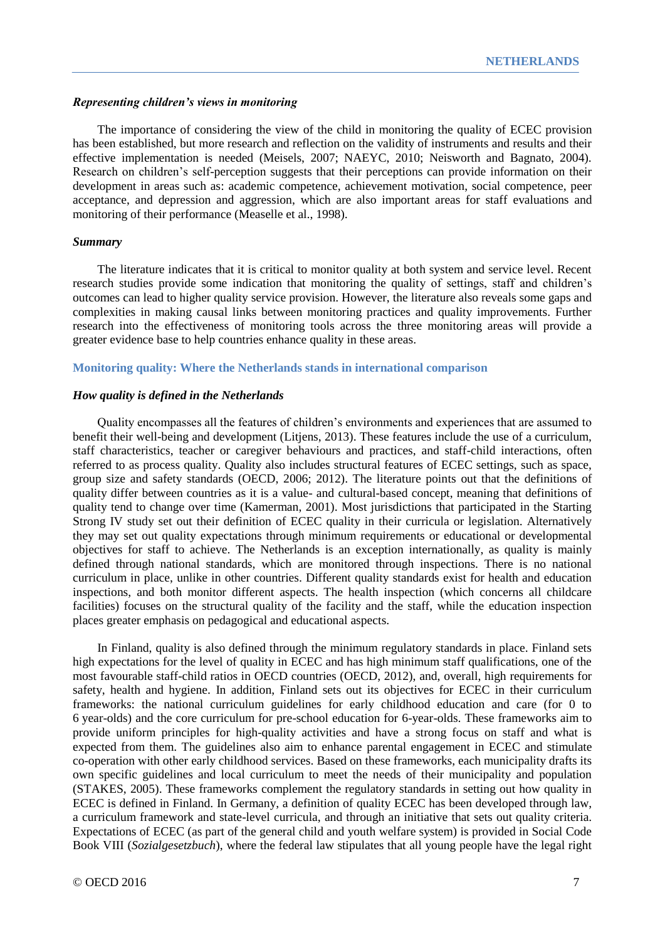## *Representing children's views in monitoring*

The importance of considering the view of the child in monitoring the quality of ECEC provision has been established, but more research and reflection on the validity of instruments and results and their effective implementation is needed (Meisels, 2007; NAEYC, 2010; Neisworth and Bagnato, 2004). Research on children's self-perception suggests that their perceptions can provide information on their development in areas such as: academic competence, achievement motivation, social competence, peer acceptance, and depression and aggression, which are also important areas for staff evaluations and monitoring of their performance (Measelle et al., 1998).

## *Summary*

The literature indicates that it is critical to monitor quality at both system and service level. Recent research studies provide some indication that monitoring the quality of settings, staff and children's outcomes can lead to higher quality service provision. However, the literature also reveals some gaps and complexities in making causal links between monitoring practices and quality improvements. Further research into the effectiveness of monitoring tools across the three monitoring areas will provide a greater evidence base to help countries enhance quality in these areas.

# **Monitoring quality: Where the Netherlands stands in international comparison**

## *How quality is defined in the Netherlands*

Quality encompasses all the features of children's environments and experiences that are assumed to benefit their well-being and development (Litjens, 2013). These features include the use of a curriculum, staff characteristics, teacher or caregiver behaviours and practices, and staff-child interactions, often referred to as process quality. Quality also includes structural features of ECEC settings, such as space, group size and safety standards (OECD, 2006; 2012). The literature points out that the definitions of quality differ between countries as it is a value- and cultural-based concept, meaning that definitions of quality tend to change over time (Kamerman, 2001). Most jurisdictions that participated in the Starting Strong IV study set out their definition of ECEC quality in their curricula or legislation. Alternatively they may set out quality expectations through minimum requirements or educational or developmental objectives for staff to achieve. The Netherlands is an exception internationally, as quality is mainly defined through national standards, which are monitored through inspections. There is no national curriculum in place, unlike in other countries. Different quality standards exist for health and education inspections, and both monitor different aspects. The health inspection (which concerns all childcare facilities) focuses on the structural quality of the facility and the staff, while the education inspection places greater emphasis on pedagogical and educational aspects.

In Finland, quality is also defined through the minimum regulatory standards in place. Finland sets high expectations for the level of quality in ECEC and has high minimum staff qualifications, one of the most favourable staff-child ratios in OECD countries (OECD, 2012), and, overall, high requirements for safety, health and hygiene. In addition, Finland sets out its objectives for ECEC in their curriculum frameworks: the national curriculum guidelines for early childhood education and care (for 0 to 6 year-olds) and the core curriculum for pre-school education for 6-year-olds. These frameworks aim to provide uniform principles for high-quality activities and have a strong focus on staff and what is expected from them. The guidelines also aim to enhance parental engagement in ECEC and stimulate co-operation with other early childhood services. Based on these frameworks, each municipality drafts its own specific guidelines and local curriculum to meet the needs of their municipality and population (STAKES, 2005). These frameworks complement the regulatory standards in setting out how quality in ECEC is defined in Finland. In Germany, a definition of quality ECEC has been developed through law, a curriculum framework and state-level curricula, and through an initiative that sets out quality criteria. Expectations of ECEC (as part of the general child and youth welfare system) is provided in Social Code Book VIII (*Sozialgesetzbuch*), where the federal law stipulates that all young people have the legal right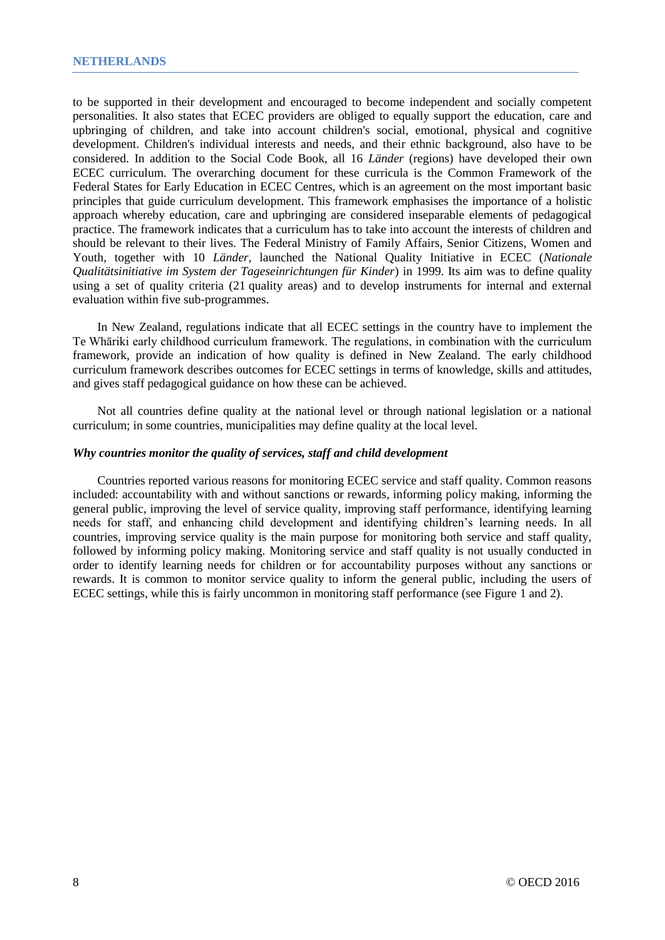to be supported in their development and encouraged to become independent and socially competent personalities. It also states that ECEC providers are obliged to equally support the education, care and upbringing of children, and take into account children's social, emotional, physical and cognitive development. Children's individual interests and needs, and their ethnic background, also have to be considered. In addition to the Social Code Book, all 16 *Länder* (regions) have developed their own ECEC curriculum. The overarching document for these curricula is the Common Framework of the Federal States for Early Education in ECEC Centres, which is an agreement on the most important basic principles that guide curriculum development. This framework emphasises the importance of a holistic approach whereby education, care and upbringing are considered inseparable elements of pedagogical practice. The framework indicates that a curriculum has to take into account the interests of children and should be relevant to their lives. The Federal Ministry of Family Affairs, Senior Citizens, Women and Youth, together with 10 *Länder*, launched the National Quality Initiative in ECEC (*Nationale Qualitätsinitiative im System der Tageseinrichtungen für Kinder*) in 1999. Its aim was to define quality using a set of quality criteria (21 quality areas) and to develop instruments for internal and external evaluation within five sub-programmes.

In New Zealand, regulations indicate that all ECEC settings in the country have to implement the Te Whāriki early childhood curriculum framework. The regulations, in combination with the curriculum framework, provide an indication of how quality is defined in New Zealand. The early childhood curriculum framework describes outcomes for ECEC settings in terms of knowledge, skills and attitudes, and gives staff pedagogical guidance on how these can be achieved.

Not all countries define quality at the national level or through national legislation or a national curriculum; in some countries, municipalities may define quality at the local level.

#### *Why countries monitor the quality of services, staff and child development*

Countries reported various reasons for monitoring ECEC service and staff quality. Common reasons included: accountability with and without sanctions or rewards, informing policy making, informing the general public, improving the level of service quality, improving staff performance, identifying learning needs for staff, and enhancing child development and identifying children's learning needs. In all countries, improving service quality is the main purpose for monitoring both service and staff quality, followed by informing policy making. Monitoring service and staff quality is not usually conducted in order to identify learning needs for children or for accountability purposes without any sanctions or rewards. It is common to monitor service quality to inform the general public, including the users of ECEC settings, while this is fairly uncommon in monitoring staff performance (see Figure 1 and 2).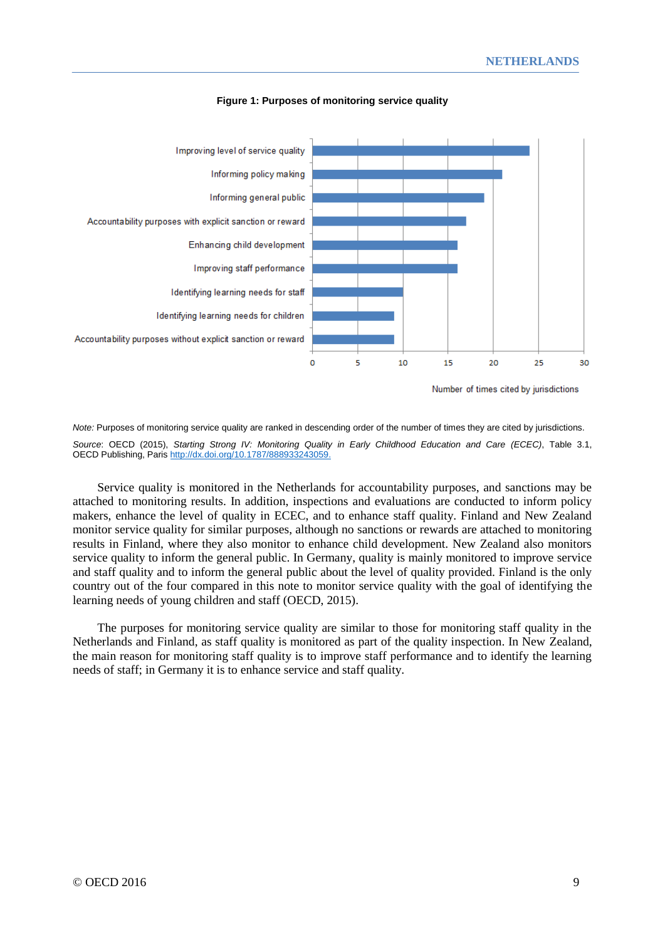

**Figure 1: Purposes of monitoring service quality**

Number of times cited by jurisdictions

*Note:* Purposes of monitoring service quality are ranked in descending order of the number of times they are cited by jurisdictions. *Source*: OECD (2015), *Starting Strong IV: Monitoring Quality in Early Childhood Education and Care (ECEC)*, Table 3.1, OECD Publishing, Paris [http://dx.doi.org/10.1787/888933243059.](http://dx.doi.org/10.1787/888933243059)

Service quality is monitored in the Netherlands for accountability purposes, and sanctions may be attached to monitoring results. In addition, inspections and evaluations are conducted to inform policy makers, enhance the level of quality in ECEC, and to enhance staff quality. Finland and New Zealand monitor service quality for similar purposes, although no sanctions or rewards are attached to monitoring results in Finland, where they also monitor to enhance child development. New Zealand also monitors service quality to inform the general public. In Germany, quality is mainly monitored to improve service and staff quality and to inform the general public about the level of quality provided. Finland is the only country out of the four compared in this note to monitor service quality with the goal of identifying the learning needs of young children and staff (OECD, 2015).

The purposes for monitoring service quality are similar to those for monitoring staff quality in the Netherlands and Finland, as staff quality is monitored as part of the quality inspection. In New Zealand, the main reason for monitoring staff quality is to improve staff performance and to identify the learning needs of staff; in Germany it is to enhance service and staff quality.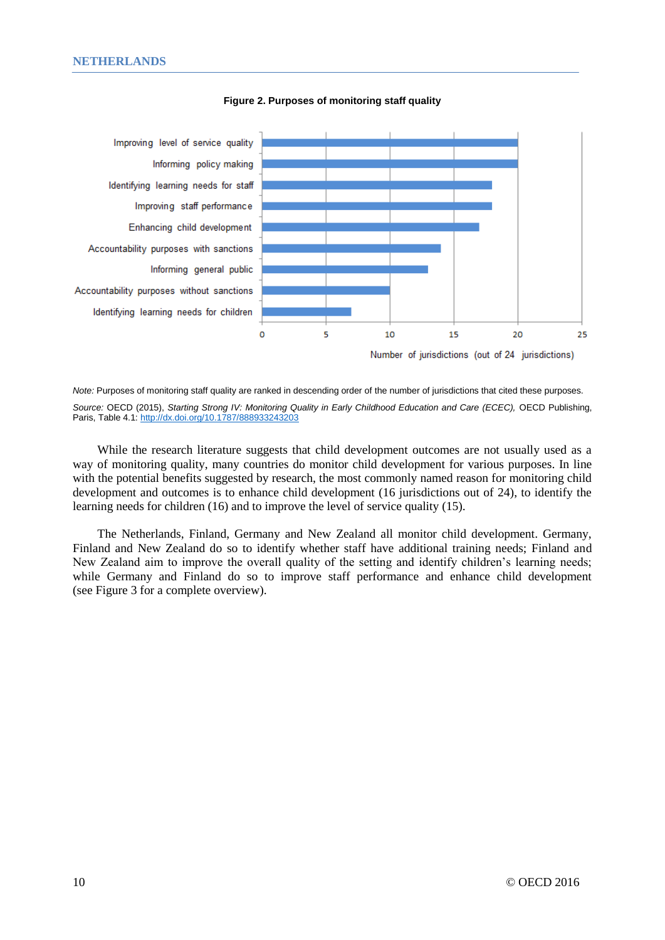

**Figure 2. Purposes of monitoring staff quality**

*Note:* Purposes of monitoring staff quality are ranked in descending order of the number of jurisdictions that cited these purposes. *Source:* OECD (2015), *Starting Strong IV: Monitoring Quality in Early Childhood Education and Care (ECEC),* OECD Publishing, Paris, Table 4.1[: http://dx.doi.org/10.1787/888933243203](http://dx.doi.org/10.1787/888933243203)

While the research literature suggests that child development outcomes are not usually used as a way of monitoring quality, many countries do monitor child development for various purposes. In line with the potential benefits suggested by research, the most commonly named reason for monitoring child development and outcomes is to enhance child development (16 jurisdictions out of 24), to identify the learning needs for children (16) and to improve the level of service quality (15).

The Netherlands, Finland, Germany and New Zealand all monitor child development. Germany, Finland and New Zealand do so to identify whether staff have additional training needs; Finland and New Zealand aim to improve the overall quality of the setting and identify children's learning needs; while Germany and Finland do so to improve staff performance and enhance child development (see Figure 3 for a complete overview).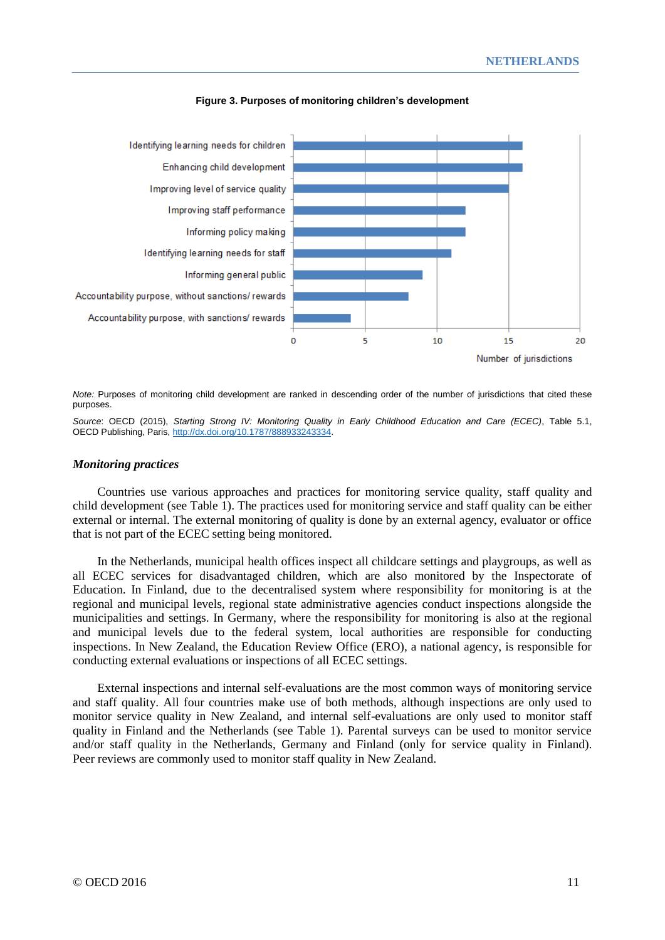

**Figure 3. Purposes of monitoring children's development**

*Note:* Purposes of monitoring child development are ranked in descending order of the number of jurisdictions that cited these purposes.

*Source*: OECD (2015), *Starting Strong IV: Monitoring Quality in Early Childhood Education and Care (ECEC)*, Table 5.1, OECD Publishing, Paris[, http://dx.doi.org/10.1787/888933243334.](http://dx.doi.org/10.1787/888933243334)

# *Monitoring practices*

Countries use various approaches and practices for monitoring service quality, staff quality and child development (see Table 1). The practices used for monitoring service and staff quality can be either external or internal. The external monitoring of quality is done by an external agency, evaluator or office that is not part of the ECEC setting being monitored.

In the Netherlands, municipal health offices inspect all childcare settings and playgroups, as well as all ECEC services for disadvantaged children, which are also monitored by the Inspectorate of Education. In Finland, due to the decentralised system where responsibility for monitoring is at the regional and municipal levels, regional state administrative agencies conduct inspections alongside the municipalities and settings. In Germany, where the responsibility for monitoring is also at the regional and municipal levels due to the federal system, local authorities are responsible for conducting inspections. In New Zealand, the Education Review Office (ERO), a national agency, is responsible for conducting external evaluations or inspections of all ECEC settings.

External inspections and internal self-evaluations are the most common ways of monitoring service and staff quality. All four countries make use of both methods, although inspections are only used to monitor service quality in New Zealand, and internal self-evaluations are only used to monitor staff quality in Finland and the Netherlands (see Table 1). Parental surveys can be used to monitor service and/or staff quality in the Netherlands, Germany and Finland (only for service quality in Finland). Peer reviews are commonly used to monitor staff quality in New Zealand.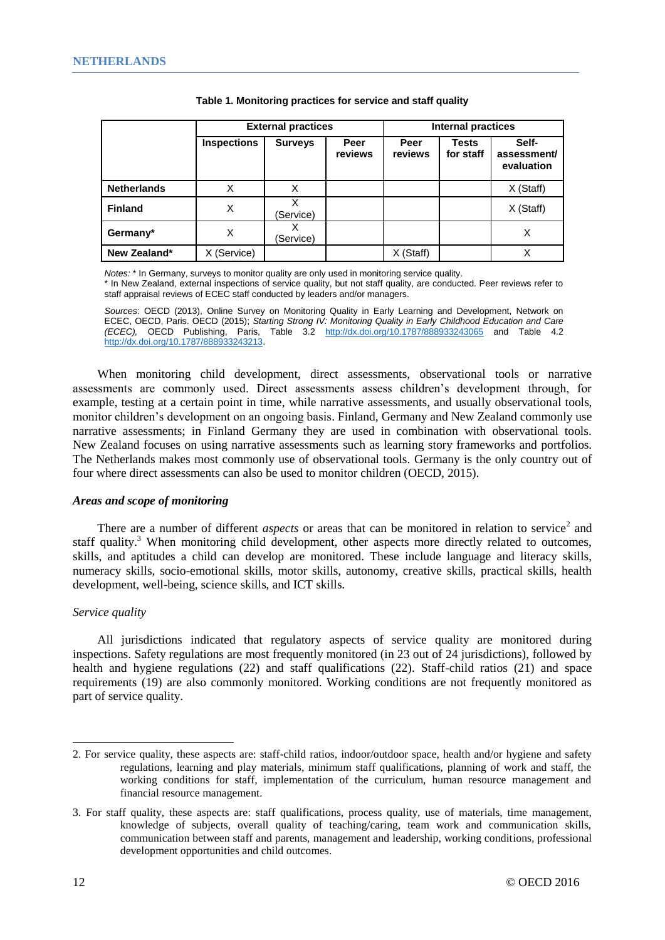|                    |                    | <b>External practices</b> |                 | <b>Internal practices</b> |                           |                                    |  |
|--------------------|--------------------|---------------------------|-----------------|---------------------------|---------------------------|------------------------------------|--|
|                    | <b>Inspections</b> | <b>Surveys</b>            | Peer<br>reviews | Peer<br>reviews           | <b>Tests</b><br>for staff | Self-<br>assessment/<br>evaluation |  |
| <b>Netherlands</b> | х                  | х                         |                 |                           |                           | X (Staff)                          |  |
| <b>Finland</b>     | X                  | (Service)                 |                 |                           |                           | X (Staff)                          |  |
| Germany*           | X                  | (Service)                 |                 |                           |                           | х                                  |  |
| New Zealand*       | X (Service)        |                           |                 | X (Staff)                 |                           |                                    |  |

#### **Table 1. Monitoring practices for service and staff quality**

*Notes:* \* In Germany, surveys to monitor quality are only used in monitoring service quality.

\* In New Zealand, external inspections of service quality, but not staff quality, are conducted. Peer reviews refer to staff appraisal reviews of ECEC staff conducted by leaders and/or managers.

*Sources*: OECD (2013), Online Survey on Monitoring Quality in Early Learning and Development, Network on ECEC, OECD, Paris. OECD (2015); *Starting Strong IV: Monitoring Quality in Early Childhood Education and Care (ECEC),* OECD Publishing, Paris, Table 3.2 <http://dx.doi.org/10.1787/888933243065> and Table 4.2 [http://dx.doi.org/10.1787/888933243213.](http://dx.doi.org/10.1787/888933243213)

When monitoring child development, direct assessments, observational tools or narrative assessments are commonly used. Direct assessments assess children's development through, for example, testing at a certain point in time, while narrative assessments, and usually observational tools, monitor children's development on an ongoing basis. Finland, Germany and New Zealand commonly use narrative assessments; in Finland Germany they are used in combination with observational tools. New Zealand focuses on using narrative assessments such as learning story frameworks and portfolios. The Netherlands makes most commonly use of observational tools. Germany is the only country out of four where direct assessments can also be used to monitor children (OECD, 2015).

## *Areas and scope of monitoring*

There are a number of different *aspects* or areas that can be monitored in relation to service<sup>2</sup> and staff quality.<sup>3</sup> When monitoring child development, other aspects more directly related to outcomes, skills, and aptitudes a child can develop are monitored. These include language and literacy skills, numeracy skills, socio-emotional skills, motor skills, autonomy, creative skills, practical skills, health development, well-being, science skills, and ICT skills.

## *Service quality*

All jurisdictions indicated that regulatory aspects of service quality are monitored during inspections. Safety regulations are most frequently monitored (in 23 out of 24 jurisdictions), followed by health and hygiene regulations (22) and staff qualifications (22). Staff-child ratios (21) and space requirements (19) are also commonly monitored. Working conditions are not frequently monitored as part of service quality.

<sup>2.</sup> For service quality, these aspects are: staff-child ratios, indoor/outdoor space, health and/or hygiene and safety regulations, learning and play materials, minimum staff qualifications, planning of work and staff, the working conditions for staff, implementation of the curriculum, human resource management and financial resource management.

<sup>3.</sup> For staff quality, these aspects are: staff qualifications, process quality, use of materials, time management, knowledge of subjects, overall quality of teaching/caring, team work and communication skills, communication between staff and parents, management and leadership, working conditions, professional development opportunities and child outcomes.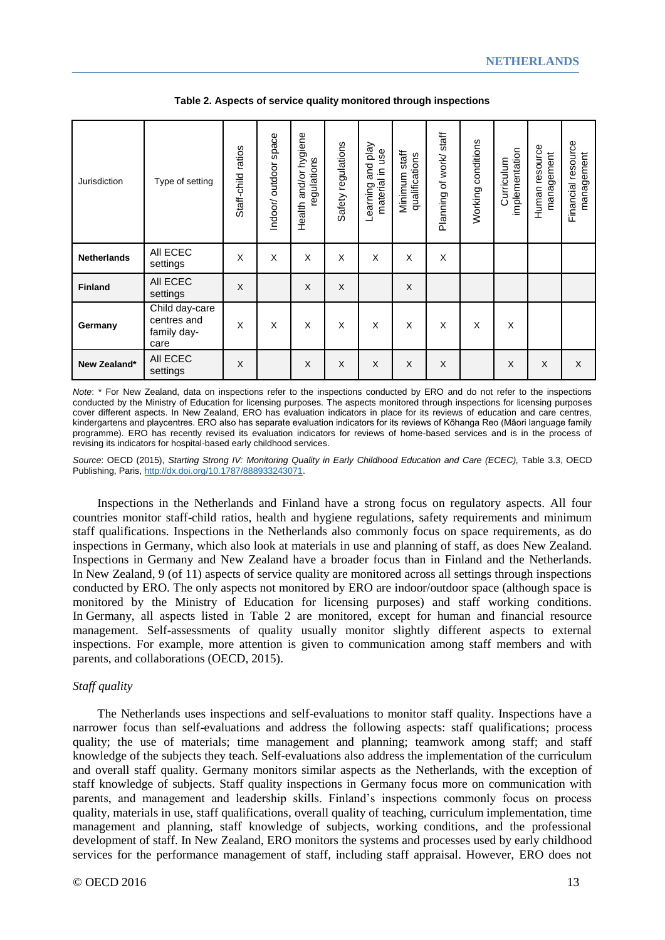| Jurisdiction       | Type of setting                                      | Staff-child ratios | space<br>Indoor/outdoor | hygiene<br>regulations<br>and/or<br>Health | Safety regulations | and play<br>material in use<br>Learning | staff<br>qualifications<br>Minimum | staff<br>of work/<br>Planning | conditions<br>Working | implementation<br>Curriculum | Human resource<br>management | Financial resource<br>management |
|--------------------|------------------------------------------------------|--------------------|-------------------------|--------------------------------------------|--------------------|-----------------------------------------|------------------------------------|-------------------------------|-----------------------|------------------------------|------------------------------|----------------------------------|
| <b>Netherlands</b> | All ECEC<br>settings                                 | X                  | X                       | X                                          | X                  | X                                       | X                                  | X                             |                       |                              |                              |                                  |
| <b>Finland</b>     | All ECEC<br>settings                                 | $\times$           |                         | X                                          | $\times$           |                                         | X                                  |                               |                       |                              |                              |                                  |
| Germany            | Child day-care<br>centres and<br>family day-<br>care | X                  | X                       | X                                          | X                  | X                                       | X                                  | X                             | X                     | X                            |                              |                                  |
| New Zealand*       | All ECEC<br>settings                                 | X                  |                         | X                                          | X                  | X                                       | X                                  | $\times$                      |                       | X                            | X                            | X                                |

**Table 2. Aspects of service quality monitored through inspections**

*Note*: \* For New Zealand, data on inspections refer to the inspections conducted by ERO and do not refer to the inspections conducted by the Ministry of Education for licensing purposes. The aspects monitored through inspections for licensing purposes cover different aspects. In New Zealand, ERO has evaluation indicators in place for its reviews of education and care centres, kindergartens and playcentres. ERO also has separate evaluation indicators for its reviews of Kōhanga Reo (Māori language family programme). ERO has recently revised its evaluation indicators for reviews of home-based services and is in the process of revising its indicators for hospital-based early childhood services.

*Source*: OECD (2015), *Starting Strong IV: Monitoring Quality in Early Childhood Education and Care (ECEC),* Table 3.3, OECD Publishing, Paris[, http://dx.doi.org/10.1787/888933243071.](http://dx.doi.org/10.1787/888933243071)

Inspections in the Netherlands and Finland have a strong focus on regulatory aspects. All four countries monitor staff-child ratios, health and hygiene regulations, safety requirements and minimum staff qualifications. Inspections in the Netherlands also commonly focus on space requirements, as do inspections in Germany, which also look at materials in use and planning of staff, as does New Zealand. Inspections in Germany and New Zealand have a broader focus than in Finland and the Netherlands. In New Zealand, 9 (of 11) aspects of service quality are monitored across all settings through inspections conducted by ERO. The only aspects not monitored by ERO are indoor/outdoor space (although space is monitored by the Ministry of Education for licensing purposes) and staff working conditions. In Germany, all aspects listed in Table 2 are monitored, except for human and financial resource management. Self-assessments of quality usually monitor slightly different aspects to external inspections. For example, more attention is given to communication among staff members and with parents, and collaborations (OECD, 2015).

## *Staff quality*

The Netherlands uses inspections and self-evaluations to monitor staff quality. Inspections have a narrower focus than self-evaluations and address the following aspects: staff qualifications; process quality; the use of materials; time management and planning; teamwork among staff; and staff knowledge of the subjects they teach. Self-evaluations also address the implementation of the curriculum and overall staff quality. Germany monitors similar aspects as the Netherlands, with the exception of staff knowledge of subjects. Staff quality inspections in Germany focus more on communication with parents, and management and leadership skills. Finland's inspections commonly focus on process quality, materials in use, staff qualifications, overall quality of teaching, curriculum implementation, time management and planning, staff knowledge of subjects, working conditions, and the professional development of staff. In New Zealand, ERO monitors the systems and processes used by early childhood services for the performance management of staff, including staff appraisal. However, ERO does not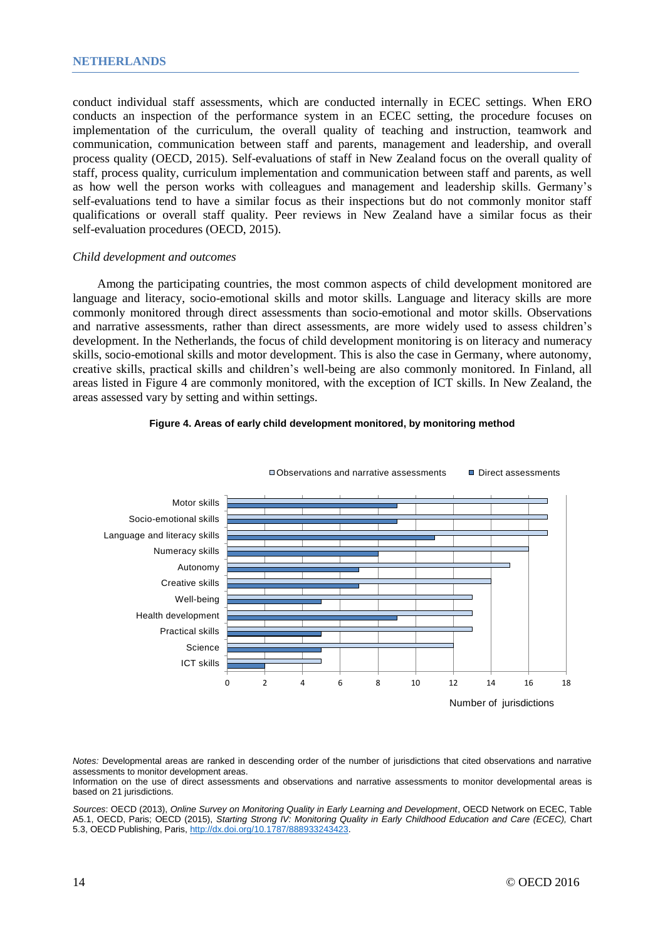conduct individual staff assessments, which are conducted internally in ECEC settings. When ERO conducts an inspection of the performance system in an ECEC setting, the procedure focuses on implementation of the curriculum, the overall quality of teaching and instruction, teamwork and communication, communication between staff and parents, management and leadership, and overall process quality (OECD, 2015). Self-evaluations of staff in New Zealand focus on the overall quality of staff, process quality, curriculum implementation and communication between staff and parents, as well as how well the person works with colleagues and management and leadership skills. Germany's self-evaluations tend to have a similar focus as their inspections but do not commonly monitor staff qualifications or overall staff quality. Peer reviews in New Zealand have a similar focus as their self-evaluation procedures (OECD, 2015).

## *Child development and outcomes*

Among the participating countries, the most common aspects of child development monitored are language and literacy, socio-emotional skills and motor skills. Language and literacy skills are more commonly monitored through direct assessments than socio-emotional and motor skills. Observations and narrative assessments, rather than direct assessments, are more widely used to assess children's development. In the Netherlands, the focus of child development monitoring is on literacy and numeracy skills, socio-emotional skills and motor development. This is also the case in Germany, where autonomy, creative skills, practical skills and children's well-being are also commonly monitored. In Finland, all areas listed in Figure 4 are commonly monitored, with the exception of ICT skills. In New Zealand, the areas assessed vary by setting and within settings.

#### **Figure 4. Areas of early child development monitored, by monitoring method**



 $\Box$ Observations and narrative assessments  $\Box$  Direct assessments

*Notes:* Developmental areas are ranked in descending order of the number of jurisdictions that cited observations and narrative

assessments to monitor development areas. Information on the use of direct assessments and observations and narrative assessments to monitor developmental areas is based on 21 jurisdictions.

*Sources*: OECD (2013), *Online Survey on Monitoring Quality in Early Learning and Development*, OECD Network on ECEC, Table A5.1, OECD, Paris; OECD (2015), *Starting Strong IV: Monitoring Quality in Early Childhood Education and Care (ECEC),* Chart 5.3, OECD Publishing, Paris, [http://dx.doi.org/10.1787/888933243423.](http://dx.doi.org/10.1787/888933243423)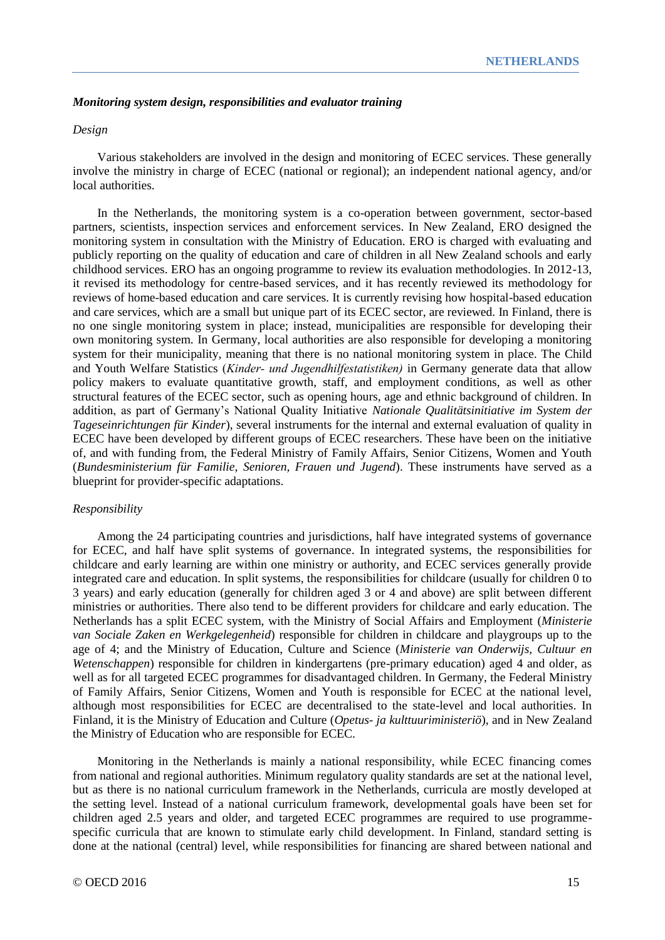# *Monitoring system design, responsibilities and evaluator training*

# *Design*

Various stakeholders are involved in the design and monitoring of ECEC services. These generally involve the ministry in charge of ECEC (national or regional); an independent national agency, and/or local authorities.

In the Netherlands, the monitoring system is a co-operation between government, sector-based partners, scientists, inspection services and enforcement services. In New Zealand, ERO designed the monitoring system in consultation with the Ministry of Education. ERO is charged with evaluating and publicly reporting on the quality of education and care of children in all New Zealand schools and early childhood services. ERO has an ongoing programme to review its evaluation methodologies. In 2012-13, it revised its methodology for centre-based services, and it has recently reviewed its methodology for reviews of home-based education and care services. It is currently revising how hospital-based education and care services, which are a small but unique part of its ECEC sector, are reviewed. In Finland, there is no one single monitoring system in place; instead, municipalities are responsible for developing their own monitoring system. In Germany, local authorities are also responsible for developing a monitoring system for their municipality, meaning that there is no national monitoring system in place. The Child and Youth Welfare Statistics (*Kinder- und Jugendhilfestatistiken)* in Germany generate data that allow policy makers to evaluate quantitative growth, staff, and employment conditions, as well as other structural features of the ECEC sector, such as opening hours, age and ethnic background of children. In addition, as part of Germany's National Quality Initiative *Nationale Qualitätsinitiative im System der Tageseinrichtungen für Kinder*), several instruments for the internal and external evaluation of quality in ECEC have been developed by different groups of ECEC researchers. These have been on the initiative of, and with funding from, the Federal Ministry of Family Affairs, Senior Citizens, Women and Youth (*Bundesministerium für Familie, Senioren, Frauen und Jugend*). These instruments have served as a blueprint for provider-specific adaptations.

## *Responsibility*

Among the 24 participating countries and jurisdictions, half have integrated systems of governance for ECEC, and half have split systems of governance. In integrated systems, the responsibilities for childcare and early learning are within one ministry or authority, and ECEC services generally provide integrated care and education. In split systems, the responsibilities for childcare (usually for children 0 to 3 years) and early education (generally for children aged 3 or 4 and above) are split between different ministries or authorities. There also tend to be different providers for childcare and early education. The Netherlands has a split ECEC system, with the Ministry of Social Affairs and Employment (*Ministerie van Sociale Zaken en Werkgelegenheid*) responsible for children in childcare and playgroups up to the age of 4; and the Ministry of Education, Culture and Science (*Ministerie van Onderwijs, Cultuur en Wetenschappen*) responsible for children in kindergartens (pre-primary education) aged 4 and older, as well as for all targeted ECEC programmes for disadvantaged children. In Germany, the Federal Ministry of Family Affairs, Senior Citizens, Women and Youth is responsible for ECEC at the national level, although most responsibilities for ECEC are decentralised to the state-level and local authorities. In Finland, it is the Ministry of Education and Culture (*Opetus- ja kulttuuriministeriö*), and in New Zealand the Ministry of Education who are responsible for ECEC.

Monitoring in the Netherlands is mainly a national responsibility, while ECEC financing comes from national and regional authorities. Minimum regulatory quality standards are set at the national level, but as there is no national curriculum framework in the Netherlands, curricula are mostly developed at the setting level. Instead of a national curriculum framework, developmental goals have been set for children aged 2.5 years and older, and targeted ECEC programmes are required to use programmespecific curricula that are known to stimulate early child development. In Finland, standard setting is done at the national (central) level, while responsibilities for financing are shared between national and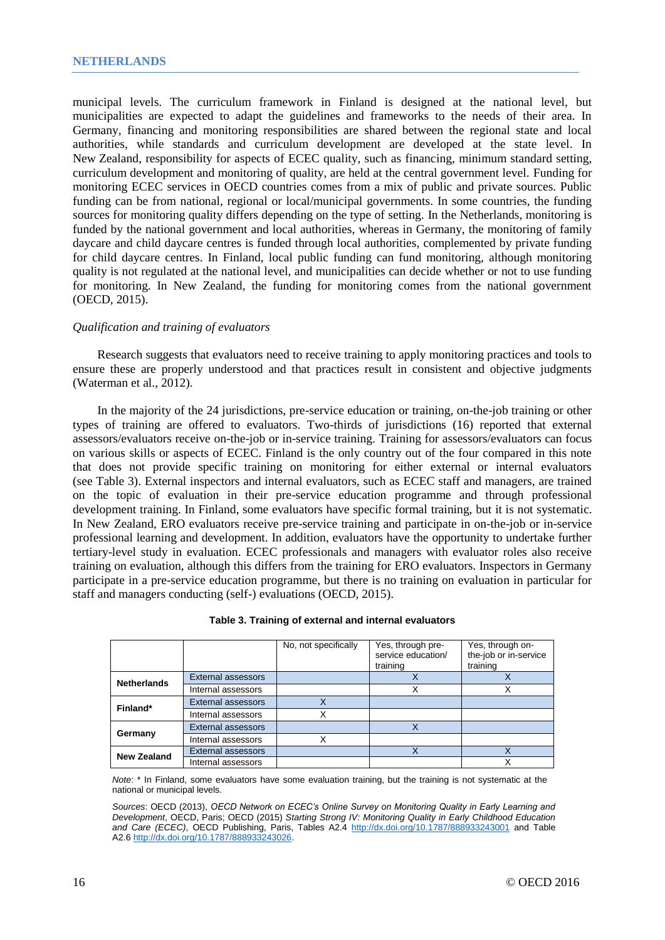municipal levels. The curriculum framework in Finland is designed at the national level, but municipalities are expected to adapt the guidelines and frameworks to the needs of their area. In Germany, financing and monitoring responsibilities are shared between the regional state and local authorities, while standards and curriculum development are developed at the state level. In New Zealand, responsibility for aspects of ECEC quality, such as financing, minimum standard setting, curriculum development and monitoring of quality, are held at the central government level. Funding for monitoring ECEC services in OECD countries comes from a mix of public and private sources. Public funding can be from national, regional or local/municipal governments. In some countries, the funding sources for monitoring quality differs depending on the type of setting. In the Netherlands, monitoring is funded by the national government and local authorities, whereas in Germany, the monitoring of family daycare and child daycare centres is funded through local authorities, complemented by private funding for child daycare centres. In Finland, local public funding can fund monitoring, although monitoring quality is not regulated at the national level, and municipalities can decide whether or not to use funding for monitoring. In New Zealand, the funding for monitoring comes from the national government (OECD, 2015).

## *Qualification and training of evaluators*

Research suggests that evaluators need to receive training to apply monitoring practices and tools to ensure these are properly understood and that practices result in consistent and objective judgments (Waterman et al., 2012).

In the majority of the 24 jurisdictions, pre-service education or training, on-the-job training or other types of training are offered to evaluators. Two-thirds of jurisdictions (16) reported that external assessors/evaluators receive on-the-job or in-service training. Training for assessors/evaluators can focus on various skills or aspects of ECEC. Finland is the only country out of the four compared in this note that does not provide specific training on monitoring for either external or internal evaluators (see Table 3). External inspectors and internal evaluators, such as ECEC staff and managers, are trained on the topic of evaluation in their pre-service education programme and through professional development training. In Finland, some evaluators have specific formal training, but it is not systematic. In New Zealand, ERO evaluators receive pre-service training and participate in on-the-job or in-service professional learning and development. In addition, evaluators have the opportunity to undertake further tertiary-level study in evaluation. ECEC professionals and managers with evaluator roles also receive training on evaluation, although this differs from the training for ERO evaluators. Inspectors in Germany participate in a pre-service education programme, but there is no training on evaluation in particular for staff and managers conducting (self-) evaluations (OECD, 2015).

|                    |                           | No, not specifically | Yes, through pre-<br>service education/<br>training | Yes, through on-<br>the-job or in-service<br>training |
|--------------------|---------------------------|----------------------|-----------------------------------------------------|-------------------------------------------------------|
| <b>Netherlands</b> | <b>External assessors</b> |                      |                                                     |                                                       |
|                    | Internal assessors        |                      |                                                     | Χ                                                     |
| Finland*           | <b>External assessors</b> |                      |                                                     |                                                       |
|                    | Internal assessors        |                      |                                                     |                                                       |
|                    | <b>External assessors</b> |                      |                                                     |                                                       |
| Germany            | Internal assessors        |                      |                                                     |                                                       |
| <b>New Zealand</b> | <b>External assessors</b> |                      |                                                     |                                                       |
|                    | Internal assessors        |                      |                                                     |                                                       |

#### **Table 3. Training of external and internal evaluators**

*Note*: \* In Finland, some evaluators have some evaluation training, but the training is not systematic at the national or municipal levels.

*Sources*: OECD (2013), *OECD Network on ECEC's Online Survey on Monitoring Quality in Early Learning and Development*, OECD, Paris; OECD (2015) *Starting Strong IV: Monitoring Quality in Early Childhood Education and Care (ECEC)*, OECD Publishing, Paris, Tables A2.4<http://dx.doi.org/10.1787/888933243001> and Table A2.[6 http://dx.doi.org/10.1787/888933243026.](http://dx.doi.org/10.1787/888933243026)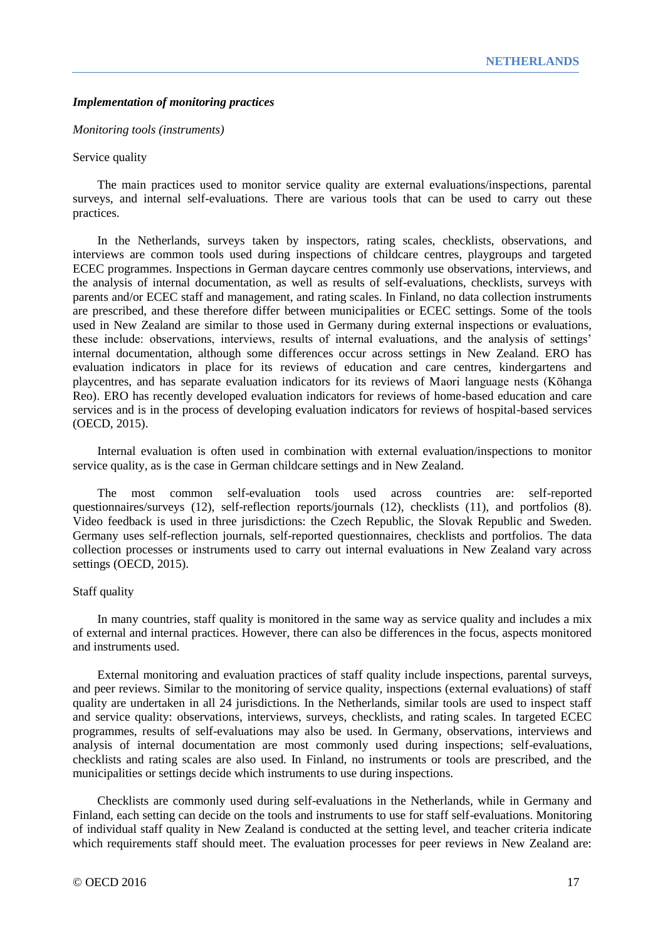# *Implementation of monitoring practices*

#### *Monitoring tools (instruments)*

#### Service quality

The main practices used to monitor service quality are external evaluations/inspections, parental surveys, and internal self-evaluations. There are various tools that can be used to carry out these practices.

In the Netherlands, surveys taken by inspectors, rating scales, checklists, observations, and interviews are common tools used during inspections of childcare centres, playgroups and targeted ECEC programmes. Inspections in German daycare centres commonly use observations, interviews, and the analysis of internal documentation, as well as results of self-evaluations, checklists, surveys with parents and/or ECEC staff and management, and rating scales. In Finland, no data collection instruments are prescribed, and these therefore differ between municipalities or ECEC settings. Some of the tools used in New Zealand are similar to those used in Germany during external inspections or evaluations, these include: observations, interviews, results of internal evaluations, and the analysis of settings' internal documentation, although some differences occur across settings in New Zealand. ERO has evaluation indicators in place for its reviews of education and care centres, kindergartens and playcentres, and has separate evaluation indicators for its reviews of Maori language nests (Kōhanga Reo). ERO has recently developed evaluation indicators for reviews of home-based education and care services and is in the process of developing evaluation indicators for reviews of hospital-based services (OECD, 2015).

Internal evaluation is often used in combination with external evaluation/inspections to monitor service quality, as is the case in German childcare settings and in New Zealand.

The most common self-evaluation tools used across countries are: self-reported questionnaires/surveys (12), self-reflection reports/journals (12), checklists (11), and portfolios (8). Video feedback is used in three jurisdictions: the Czech Republic, the Slovak Republic and Sweden. Germany uses self-reflection journals, self-reported questionnaires, checklists and portfolios. The data collection processes or instruments used to carry out internal evaluations in New Zealand vary across settings (OECD, 2015).

#### Staff quality

In many countries, staff quality is monitored in the same way as service quality and includes a mix of external and internal practices. However, there can also be differences in the focus, aspects monitored and instruments used.

External monitoring and evaluation practices of staff quality include inspections, parental surveys, and peer reviews. Similar to the monitoring of service quality, inspections (external evaluations) of staff quality are undertaken in all 24 jurisdictions. In the Netherlands, similar tools are used to inspect staff and service quality: observations, interviews, surveys, checklists, and rating scales. In targeted ECEC programmes, results of self-evaluations may also be used. In Germany, observations, interviews and analysis of internal documentation are most commonly used during inspections; self-evaluations, checklists and rating scales are also used. In Finland, no instruments or tools are prescribed, and the municipalities or settings decide which instruments to use during inspections.

Checklists are commonly used during self-evaluations in the Netherlands, while in Germany and Finland, each setting can decide on the tools and instruments to use for staff self-evaluations. Monitoring of individual staff quality in New Zealand is conducted at the setting level, and teacher criteria indicate which requirements staff should meet. The evaluation processes for peer reviews in New Zealand are: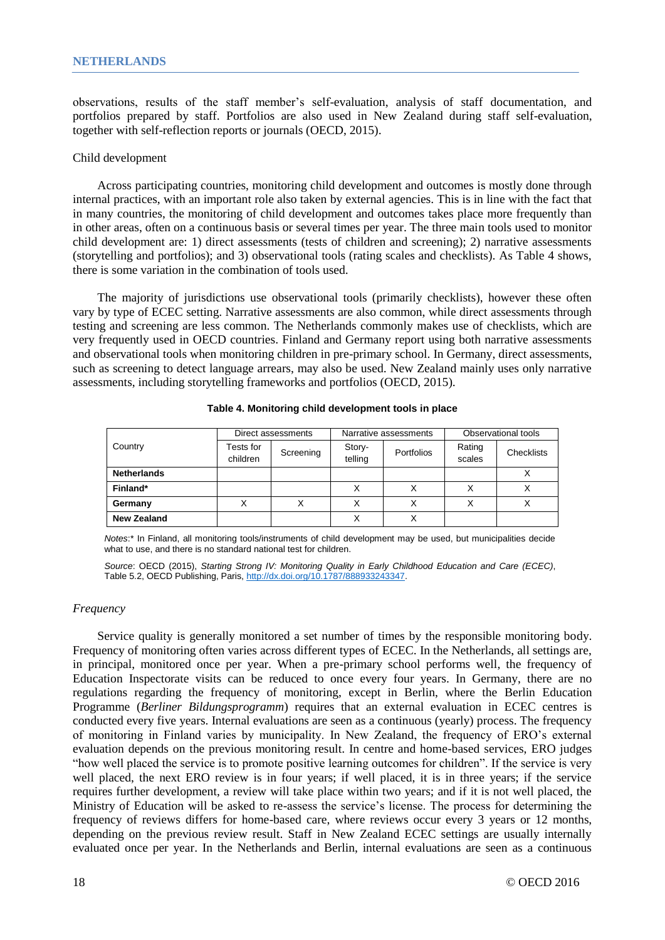observations, results of the staff member's self-evaluation, analysis of staff documentation, and portfolios prepared by staff. Portfolios are also used in New Zealand during staff self-evaluation, together with self-reflection reports or journals (OECD, 2015).

#### Child development

Across participating countries, monitoring child development and outcomes is mostly done through internal practices, with an important role also taken by external agencies. This is in line with the fact that in many countries, the monitoring of child development and outcomes takes place more frequently than in other areas, often on a continuous basis or several times per year. The three main tools used to monitor child development are: 1) direct assessments (tests of children and screening); 2) narrative assessments (storytelling and portfolios); and 3) observational tools (rating scales and checklists). As Table 4 shows, there is some variation in the combination of tools used.

The majority of jurisdictions use observational tools (primarily checklists), however these often vary by type of ECEC setting. Narrative assessments are also common, while direct assessments through testing and screening are less common. The Netherlands commonly makes use of checklists, which are very frequently used in OECD countries. Finland and Germany report using both narrative assessments and observational tools when monitoring children in pre-primary school. In Germany, direct assessments, such as screening to detect language arrears, may also be used. New Zealand mainly uses only narrative assessments, including storytelling frameworks and portfolios (OECD, 2015).

|                    |                       | Direct assessments |                   | Narrative assessments | Observational tools |                   |  |
|--------------------|-----------------------|--------------------|-------------------|-----------------------|---------------------|-------------------|--|
| Country            | Tests for<br>children | Screening          | Story-<br>telling | Portfolios            | Rating<br>scales    | <b>Checklists</b> |  |
| <b>Netherlands</b> |                       |                    |                   |                       |                     | ́                 |  |
| Finland*           |                       |                    |                   | Χ                     |                     |                   |  |
| Germany            | Χ                     |                    |                   | х                     | х                   | ⋏                 |  |
| <b>New Zealand</b> |                       |                    |                   | Χ                     |                     |                   |  |

**Table 4. Monitoring child development tools in place**

*Notes*:\* In Finland, all monitoring tools/instruments of child development may be used, but municipalities decide what to use, and there is no standard national test for children.

*Source*: OECD (2015), *Starting Strong IV: Monitoring Quality in Early Childhood Education and Care (ECEC)*, Table 5.2, OECD Publishing, Paris[, http://dx.doi.org/10.1787/888933243347.](http://dx.doi.org/10.1787/888933243347)

# *Frequency*

Service quality is generally monitored a set number of times by the responsible monitoring body. Frequency of monitoring often varies across different types of ECEC. In the Netherlands, all settings are, in principal, monitored once per year. When a pre-primary school performs well, the frequency of Education Inspectorate visits can be reduced to once every four years. In Germany, there are no regulations regarding the frequency of monitoring, except in Berlin, where the Berlin Education Programme (*Berliner Bildungsprogramm*) requires that an external evaluation in ECEC centres is conducted every five years. Internal evaluations are seen as a continuous (yearly) process. The frequency of monitoring in Finland varies by municipality. In New Zealand, the frequency of ERO's external evaluation depends on the previous monitoring result. In centre and home-based services, ERO judges "how well placed the service is to promote positive learning outcomes for children". If the service is very well placed, the next ERO review is in four years; if well placed, it is in three years; if the service requires further development, a review will take place within two years; and if it is not well placed, the Ministry of Education will be asked to re-assess the service's license. The process for determining the frequency of reviews differs for home-based care, where reviews occur every 3 years or 12 months, depending on the previous review result. Staff in New Zealand ECEC settings are usually internally evaluated once per year. In the Netherlands and Berlin, internal evaluations are seen as a continuous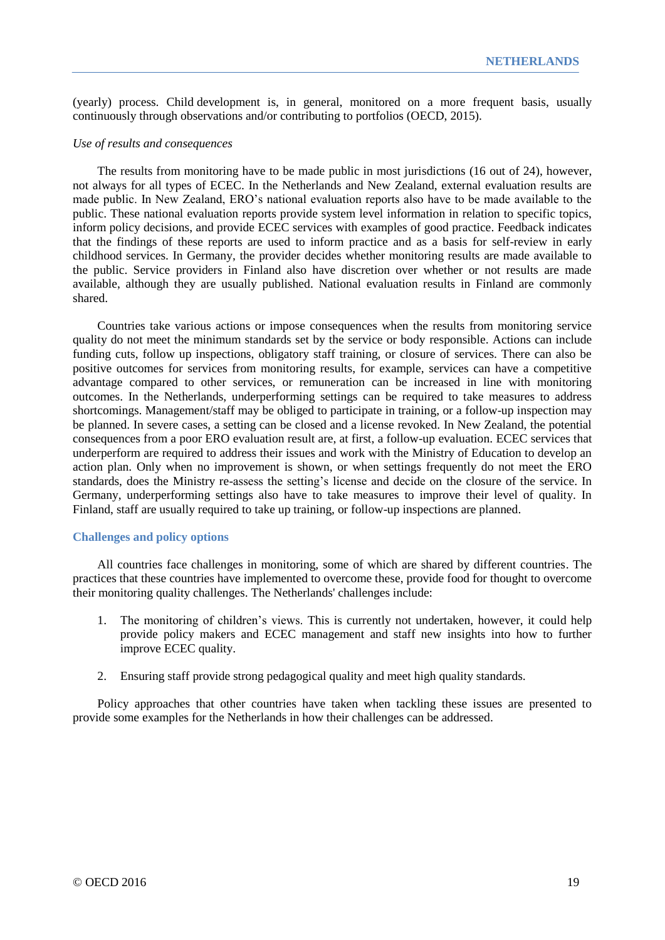(yearly) process. Child development is, in general, monitored on a more frequent basis, usually continuously through observations and/or contributing to portfolios (OECD, 2015).

#### *Use of results and consequences*

The results from monitoring have to be made public in most jurisdictions (16 out of 24), however, not always for all types of ECEC. In the Netherlands and New Zealand, external evaluation results are made public. In New Zealand, ERO's national evaluation reports also have to be made available to the public. These national evaluation reports provide system level information in relation to specific topics, inform policy decisions, and provide ECEC services with examples of good practice. Feedback indicates that the findings of these reports are used to inform practice and as a basis for self-review in early childhood services. In Germany, the provider decides whether monitoring results are made available to the public. Service providers in Finland also have discretion over whether or not results are made available, although they are usually published. National evaluation results in Finland are commonly shared.

Countries take various actions or impose consequences when the results from monitoring service quality do not meet the minimum standards set by the service or body responsible. Actions can include funding cuts, follow up inspections, obligatory staff training, or closure of services. There can also be positive outcomes for services from monitoring results, for example, services can have a competitive advantage compared to other services, or remuneration can be increased in line with monitoring outcomes. In the Netherlands, underperforming settings can be required to take measures to address shortcomings. Management/staff may be obliged to participate in training, or a follow-up inspection may be planned. In severe cases, a setting can be closed and a license revoked. In New Zealand, the potential consequences from a poor ERO evaluation result are, at first, a follow-up evaluation. ECEC services that underperform are required to address their issues and work with the Ministry of Education to develop an action plan. Only when no improvement is shown, or when settings frequently do not meet the ERO standards, does the Ministry re-assess the setting's license and decide on the closure of the service. In Germany, underperforming settings also have to take measures to improve their level of quality. In Finland, staff are usually required to take up training, or follow-up inspections are planned.

#### **Challenges and policy options**

All countries face challenges in monitoring, some of which are shared by different countries. The practices that these countries have implemented to overcome these, provide food for thought to overcome their monitoring quality challenges. The Netherlands' challenges include:

- 1. The monitoring of children's views. This is currently not undertaken, however, it could help provide policy makers and ECEC management and staff new insights into how to further improve ECEC quality.
- 2. Ensuring staff provide strong pedagogical quality and meet high quality standards.

Policy approaches that other countries have taken when tackling these issues are presented to provide some examples for the Netherlands in how their challenges can be addressed.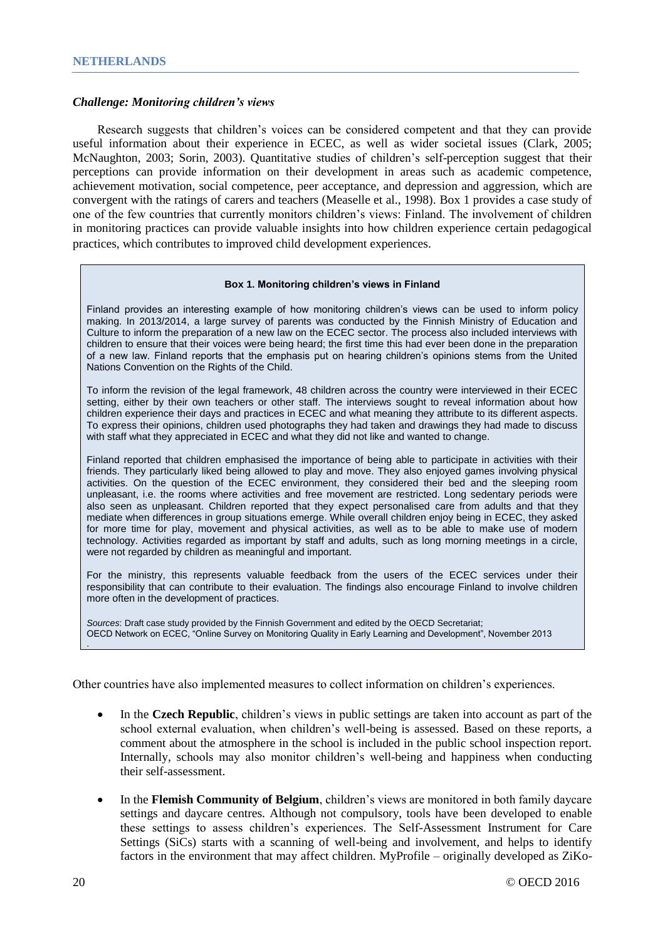# *Challenge: Monitoring children's views*

Research suggests that children's voices can be considered competent and that they can provide useful information about their experience in ECEC, as well as wider societal issues (Clark, 2005; McNaughton, 2003; Sorin, 2003). Quantitative studies of children's self-perception suggest that their perceptions can provide information on their development in areas such as academic competence, achievement motivation, social competence, peer acceptance, and depression and aggression, which are convergent with the ratings of carers and teachers (Measelle et al., 1998). Box 1 provides a case study of one of the few countries that currently monitors children's views: Finland. The involvement of children in monitoring practices can provide valuable insights into how children experience certain pedagogical practices, which contributes to improved child development experiences.

#### **Box 1. Monitoring children's views in Finland**

Finland provides an interesting example of how monitoring children's views can be used to inform policy making. In 2013/2014, a large survey of parents was conducted by the Finnish Ministry of Education and Culture to inform the preparation of a new law on the ECEC sector. The process also included interviews with children to ensure that their voices were being heard; the first time this had ever been done in the preparation of a new law. Finland reports that the emphasis put on hearing children's opinions stems from the United Nations Convention on the Rights of the Child.

To inform the revision of the legal framework, 48 children across the country were interviewed in their ECEC setting, either by their own teachers or other staff. The interviews sought to reveal information about how children experience their days and practices in ECEC and what meaning they attribute to its different aspects. To express their opinions, children used photographs they had taken and drawings they had made to discuss with staff what they appreciated in ECEC and what they did not like and wanted to change.

Finland reported that children emphasised the importance of being able to participate in activities with their friends. They particularly liked being allowed to play and move. They also enjoyed games involving physical activities. On the question of the ECEC environment, they considered their bed and the sleeping room unpleasant, i.e. the rooms where activities and free movement are restricted. Long sedentary periods were also seen as unpleasant. Children reported that they expect personalised care from adults and that they mediate when differences in group situations emerge. While overall children enjoy being in ECEC, they asked for more time for play, movement and physical activities, as well as to be able to make use of modern technology. Activities regarded as important by staff and adults, such as long morning meetings in a circle, were not regarded by children as meaningful and important.

For the ministry, this represents valuable feedback from the users of the ECEC services under their responsibility that can contribute to their evaluation. The findings also encourage Finland to involve children more often in the development of practices.

*Sources*: Draft case study provided by the Finnish Government and edited by the OECD Secretariat; OECD Network on ECEC, "Online Survey on Monitoring Quality in Early Learning and Development", November 2013 .

Other countries have also implemented measures to collect information on children's experiences.

- In the **Czech Republic**, children's views in public settings are taken into account as part of the school external evaluation, when children's well-being is assessed. Based on these reports, a comment about the atmosphere in the school is included in the public school inspection report. Internally, schools may also monitor children's well-being and happiness when conducting their self-assessment.
- In the **Flemish Community of Belgium**, children's views are monitored in both family daycare settings and daycare centres. Although not compulsory, tools have been developed to enable these settings to assess children's experiences. The Self-Assessment Instrument for Care Settings (SiCs) starts with a scanning of well-being and involvement, and helps to identify factors in the environment that may affect children. MyProfile – originally developed as ZiKo-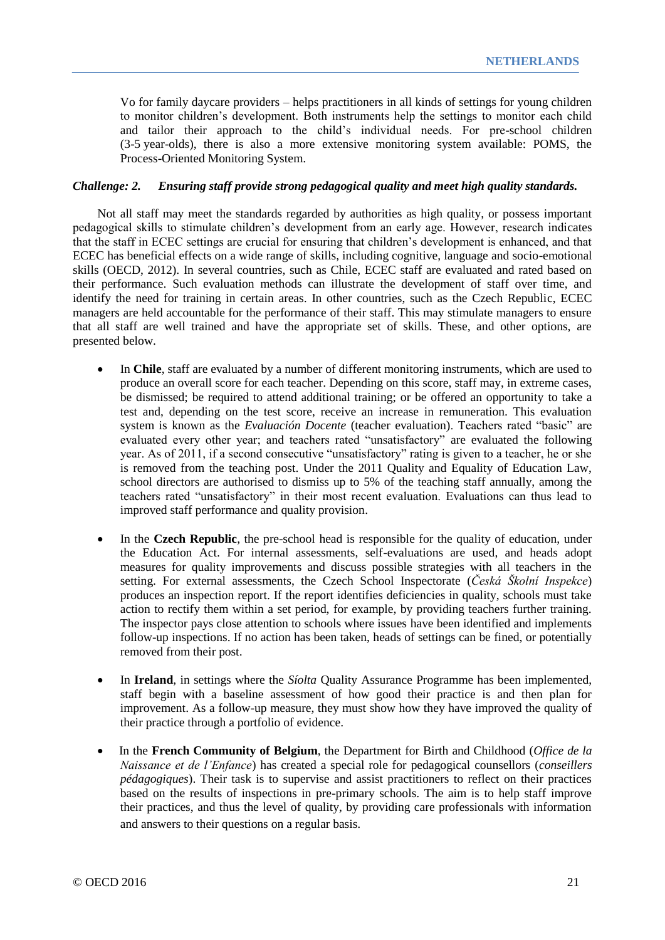Vo for family daycare providers – helps practitioners in all kinds of settings for young children to monitor children's development. Both instruments help the settings to monitor each child and tailor their approach to the child's individual needs. For pre-school children (3-5 year-olds), there is also a more extensive monitoring system available: POMS, the Process-Oriented Monitoring System.

## *Challenge: 2. Ensuring staff provide strong pedagogical quality and meet high quality standards.*

Not all staff may meet the standards regarded by authorities as high quality, or possess important pedagogical skills to stimulate children's development from an early age. However, research indicates that the staff in ECEC settings are crucial for ensuring that children's development is enhanced, and that ECEC has beneficial effects on a wide range of skills, including cognitive, language and socio-emotional skills (OECD, 2012). In several countries, such as Chile, ECEC staff are evaluated and rated based on their performance. Such evaluation methods can illustrate the development of staff over time, and identify the need for training in certain areas. In other countries, such as the Czech Republic, ECEC managers are held accountable for the performance of their staff. This may stimulate managers to ensure that all staff are well trained and have the appropriate set of skills. These, and other options, are presented below.

- In **Chile**, staff are evaluated by a number of different monitoring instruments, which are used to produce an overall score for each teacher. Depending on this score, staff may, in extreme cases, be dismissed; be required to attend additional training; or be offered an opportunity to take a test and, depending on the test score, receive an increase in remuneration. This evaluation system is known as the *Evaluación Docente* (teacher evaluation). Teachers rated "basic" are evaluated every other year; and teachers rated "unsatisfactory" are evaluated the following year. As of 2011, if a second consecutive "unsatisfactory" rating is given to a teacher, he or she is removed from the teaching post. Under the 2011 Quality and Equality of Education Law, school directors are authorised to dismiss up to 5% of the teaching staff annually, among the teachers rated "unsatisfactory" in their most recent evaluation. Evaluations can thus lead to improved staff performance and quality provision.
- In the **Czech Republic**, the pre-school head is responsible for the quality of education, under the Education Act. For internal assessments, self-evaluations are used, and heads adopt measures for quality improvements and discuss possible strategies with all teachers in the setting. For external assessments, the Czech School Inspectorate (*Česká Školní Inspekce*) produces an inspection report. If the report identifies deficiencies in quality, schools must take action to rectify them within a set period, for example, by providing teachers further training. The inspector pays close attention to schools where issues have been identified and implements follow-up inspections. If no action has been taken, heads of settings can be fined, or potentially removed from their post.
- In **Ireland**, in settings where the *Síolta* Quality Assurance Programme has been implemented, staff begin with a baseline assessment of how good their practice is and then plan for improvement. As a follow-up measure, they must show how they have improved the quality of their practice through a portfolio of evidence.
- In the **French Community of Belgium**, the Department for Birth and Childhood (*Office de la Naissance et de l'Enfance*) has created a special role for pedagogical counsellors (*conseillers pédagogiques*). Their task is to supervise and assist practitioners to reflect on their practices based on the results of inspections in pre-primary schools. The aim is to help staff improve their practices, and thus the level of quality, by providing care professionals with information and answers to their questions on a regular basis.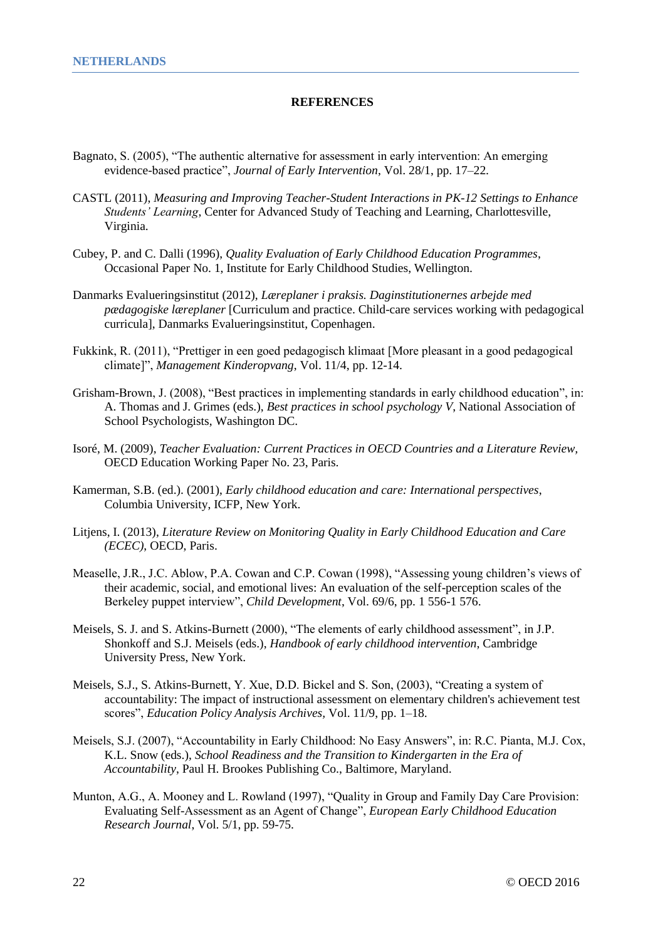# **REFERENCES**

- Bagnato, S. (2005), "The authentic alternative for assessment in early intervention: An emerging evidence-based practice", *Journal of Early Intervention*, Vol. 28/1, pp. 17–22.
- CASTL (2011), *Measuring and Improving Teacher-Student Interactions in PK-12 Settings to Enhance Students' Learning*, Center for Advanced Study of Teaching and Learning, Charlottesville, Virginia.
- Cubey, P. and C. Dalli (1996), *Quality Evaluation of Early Childhood Education Programmes*, Occasional Paper No. 1, Institute for Early Childhood Studies, Wellington.
- Danmarks Evalueringsinstitut (2012), *Læreplaner i praksis. Daginstitutionernes arbejde med pædagogiske læreplaner* [Curriculum and practice. Child-care services working with pedagogical curricula], Danmarks Evalueringsinstitut, Copenhagen.
- Fukkink, R. (2011), "Prettiger in een goed pedagogisch klimaat [More pleasant in a good pedagogical climate]", *Management Kinderopvang*, Vol. 11/4, pp. 12-14.
- Grisham-Brown, J. (2008), "Best practices in implementing standards in early childhood education", in: A. Thomas and J. Grimes (eds.), *Best practices in school psychology V*, National Association of School Psychologists, Washington DC.
- Isoré, M. (2009), *Teacher Evaluation: Current Practices in OECD Countries and a Literature Review,*  OECD Education Working Paper No. 23, Paris.
- Kamerman, S.B. (ed.). (2001), *Early childhood education and care: International perspectives*, Columbia University, ICFP, New York.
- Litjens, I. (2013), *Literature Review on Monitoring Quality in Early Childhood Education and Care (ECEC)*, OECD, Paris.
- Measelle, J.R., J.C. Ablow, P.A. Cowan and C.P. Cowan (1998), "Assessing young children's views of their academic, social, and emotional lives: An evaluation of the self-perception scales of the Berkeley puppet interview", *Child Development*, Vol. 69/6, pp. 1 556-1 576.
- Meisels, S. J. and S. Atkins-Burnett (2000), "The elements of early childhood assessment", in J.P. Shonkoff and S.J. Meisels (eds.), *Handbook of early childhood intervention*, Cambridge University Press, New York.
- Meisels, S.J., S. Atkins-Burnett, Y. Xue, D.D. Bickel and S. Son, (2003), "Creating a system of accountability: The impact of instructional assessment on elementary children's achievement test scores", *Education Policy Analysis Archives,* Vol. 11/9, pp. 1–18.
- Meisels, S.J. (2007), "Accountability in Early Childhood: No Easy Answers", in: R.C. Pianta, M.J. Cox, K.L. Snow (eds.), *School Readiness and the Transition to Kindergarten in the Era of Accountability*, Paul H. Brookes Publishing Co., Baltimore, Maryland.
- Munton, A.G., A. Mooney and L. Rowland (1997), "Quality in Group and Family Day Care Provision: Evaluating Self-Assessment as an Agent of Change", *European Early Childhood Education Research Journal*, Vol. 5/1, pp. 59-75.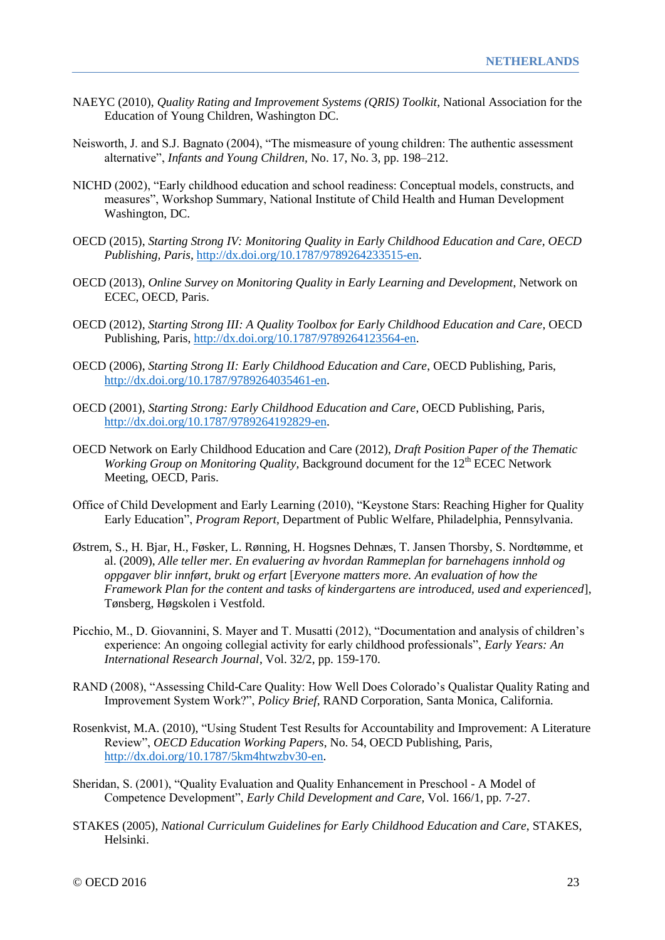- NAEYC (2010), *Quality Rating and Improvement Systems (QRIS) Toolkit*, National Association for the Education of Young Children, Washington DC.
- Neisworth, J. and S.J. Bagnato (2004), "The mismeasure of young children: The authentic assessment alternative", *Infants and Young Children,* No. 17, No. 3, pp. 198–212.
- NICHD (2002), "Early childhood education and school readiness: Conceptual models, constructs, and measures", Workshop Summary, National Institute of Child Health and Human Development Washington, DC.
- OECD (2015), *Starting Strong IV: Monitoring Quality in Early Childhood Education and Care, OECD Publishing, Paris,* [http://dx.doi.org/10.1787/9789264233515-en.](http://dx.doi.org/10.1787/9789264233515-en)
- OECD (2013), *Online Survey on Monitoring Quality in Early Learning and Development*, Network on ECEC, OECD, Paris.
- OECD (2012), *Starting Strong III: A Quality Toolbox for Early Childhood Education and Care*, OECD Publishing, Paris, [http://dx.doi.org/10.1787/9789264123564-en.](http://dx.doi.org/10.1787/9789264123564-en)
- OECD (2006), *Starting Strong II: Early Childhood Education and Care*, OECD Publishing, Paris, [http://dx.doi.org/10.1787/9789264035461-en.](http://dx.doi.org/10.1787/9789264035461-en)
- OECD (2001), *Starting Strong: Early Childhood Education and Care*, OECD Publishing, Paris, [http://dx.doi.org/10.1787/9789264192829-en.](http://dx.doi.org/10.1787/9789264192829-en)
- OECD Network on Early Childhood Education and Care (2012), *Draft Position Paper of the Thematic Working Group on Monitoring Quality, Background document for the 12<sup>th</sup> ECEC Network* Meeting, OECD, Paris.
- Office of Child Development and Early Learning (2010), "Keystone Stars: Reaching Higher for Quality Early Education", *Program Report*, Department of Public Welfare, Philadelphia, Pennsylvania.
- Østrem, S., H. Bjar, H., Føsker, L. Rønning, H. Hogsnes Dehnæs, T. Jansen Thorsby, S. Nordtømme, et al. (2009), *Alle teller mer. En evaluering av hvordan Rammeplan for barnehagens innhold og oppgaver blir innført, brukt og erfart* [*Everyone matters more. An evaluation of how the Framework Plan for the content and tasks of kindergartens are introduced, used and experienced*], Tønsberg, Høgskolen i Vestfold.
- Picchio, M., D. Giovannini, S. Mayer and T. Musatti (2012), "Documentation and analysis of children's experience: An ongoing collegial activity for early childhood professionals", *Early Years: An International Research Journal*, Vol. 32/2, pp. 159-170.
- RAND (2008), "Assessing Child-Care Quality: How Well Does Colorado's Qualistar Quality Rating and Improvement System Work?", *Policy Brief*, RAND Corporation, Santa Monica, California.
- Rosenkvist, M.A. (2010), "Using Student Test Results for Accountability and Improvement: A Literature Review", *OECD Education Working Papers*, No. 54, OECD Publishing, Paris, [http://dx.doi.org/10.1787/5km4htwzbv30-en.](http://dx.doi.org/10.1787/5km4htwzbv30-en)
- Sheridan, S. (2001), "Quality Evaluation and Quality Enhancement in Preschool A Model of Competence Development", *Early Child Development and Care,* Vol. 166/1, pp. 7-27.
- STAKES (2005), *National Curriculum Guidelines for Early Childhood Education and Care*, STAKES, Helsinki.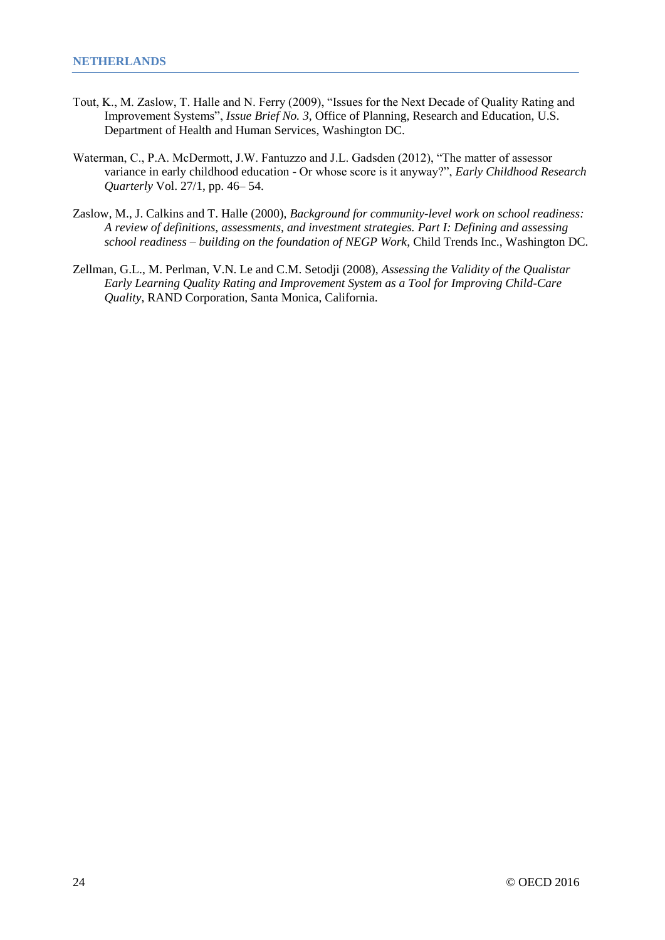- Tout, K., M. Zaslow, T. Halle and N. Ferry (2009), "Issues for the Next Decade of Quality Rating and Improvement Systems", *Issue Brief No. 3*, Office of Planning, Research and Education, U.S. Department of Health and Human Services, Washington DC.
- Waterman, C., P.A. McDermott, J.W. Fantuzzo and J.L. Gadsden (2012), "The matter of assessor variance in early childhood education - Or whose score is it anyway?", *Early Childhood Research Quarterly* Vol. 27/1, pp. 46– 54.
- Zaslow, M., J. Calkins and T. Halle (2000), *Background for community-level work on school readiness: A review of definitions, assessments, and investment strategies. Part I: Defining and assessing school readiness – building on the foundation of NEGP Work*, Child Trends Inc., Washington DC.
- Zellman, G.L., M. Perlman, V.N. Le and C.M. Setodji (2008), *Assessing the Validity of the Qualistar Early Learning Quality Rating and Improvement System as a Tool for Improving Child-Care Quality*, RAND Corporation, Santa Monica, California.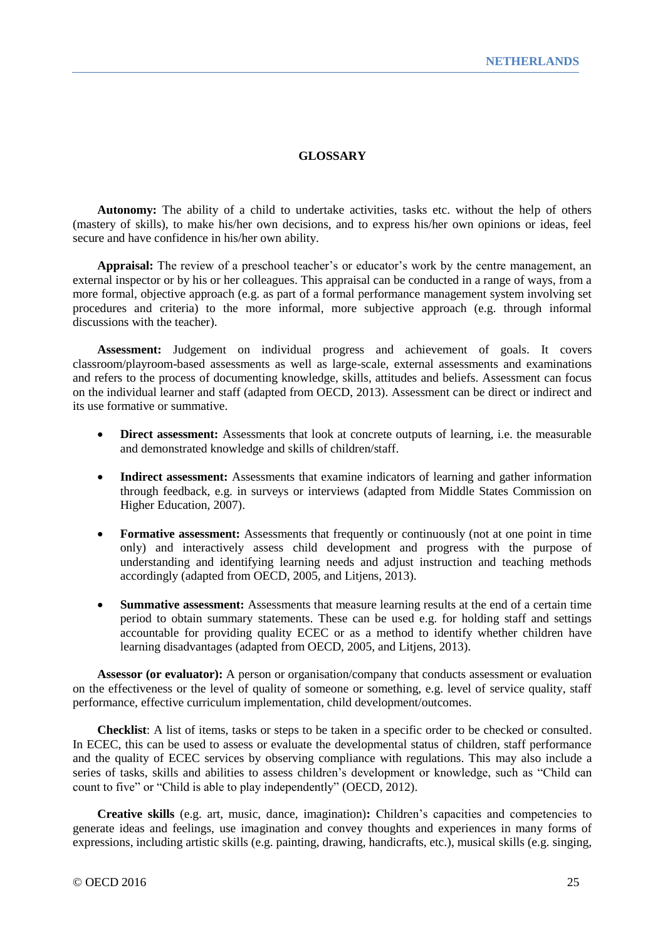# **GLOSSARY**

**Autonomy:** The ability of a child to undertake activities, tasks etc. without the help of others (mastery of skills), to make his/her own decisions, and to express his/her own opinions or ideas, feel secure and have confidence in his/her own ability.

**Appraisal:** The review of a preschool teacher's or educator's work by the centre management, an external inspector or by his or her colleagues. This appraisal can be conducted in a range of ways, from a more formal, objective approach (e.g. as part of a formal performance management system involving set procedures and criteria) to the more informal, more subjective approach (e.g. through informal discussions with the teacher).

**Assessment:** Judgement on individual progress and achievement of goals. It covers classroom/playroom-based assessments as well as large-scale, external assessments and examinations and refers to the process of documenting knowledge, skills, attitudes and beliefs. Assessment can focus on the individual learner and staff (adapted from OECD, 2013). Assessment can be direct or indirect and its use formative or summative.

- **Direct assessment:** Assessments that look at concrete outputs of learning, i.e. the measurable and demonstrated knowledge and skills of children/staff.
- **Indirect assessment:** Assessments that examine indicators of learning and gather information through feedback, e.g. in surveys or interviews (adapted from Middle States Commission on Higher Education, 2007).
- **Formative assessment:** Assessments that frequently or continuously (not at one point in time only) and interactively assess child development and progress with the purpose of understanding and identifying learning needs and adjust instruction and teaching methods accordingly (adapted from OECD, 2005, and Litjens, 2013).
- **Summative assessment:** Assessments that measure learning results at the end of a certain time period to obtain summary statements. These can be used e.g. for holding staff and settings accountable for providing quality ECEC or as a method to identify whether children have learning disadvantages (adapted from OECD, 2005, and Litjens, 2013).

**Assessor (or evaluator):** A person or organisation/company that conducts assessment or evaluation on the effectiveness or the level of quality of someone or something, e.g. level of service quality, staff performance, effective curriculum implementation, child development/outcomes.

**Checklist**: A list of items, tasks or steps to be taken in a specific order to be checked or consulted. In ECEC, this can be used to assess or evaluate the developmental status of children, staff performance and the quality of ECEC services by observing compliance with regulations. This may also include a series of tasks, skills and abilities to assess children's development or knowledge, such as "Child can count to five" or "Child is able to play independently" (OECD, 2012).

**Creative skills** (e.g. art, music, dance, imagination)**:** Children's capacities and competencies to generate ideas and feelings, use imagination and convey thoughts and experiences in many forms of expressions, including artistic skills (e.g. painting, drawing, handicrafts, etc.), musical skills (e.g. singing,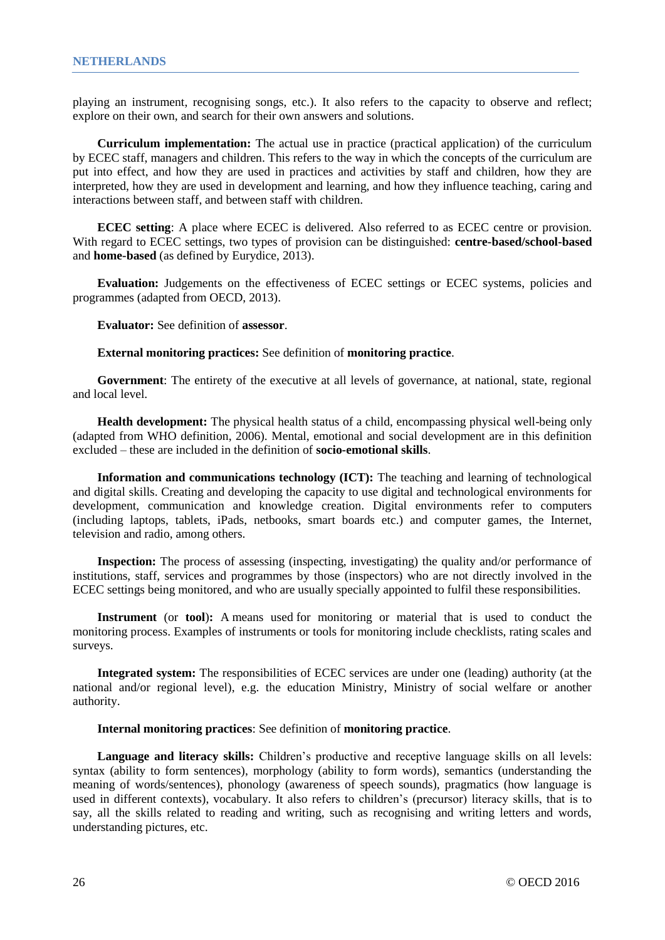playing an instrument, recognising songs, etc.). It also refers to the capacity to observe and reflect; explore on their own, and search for their own answers and solutions.

**Curriculum implementation:** The actual use in practice (practical application) of the curriculum by ECEC staff, managers and children. This refers to the way in which the concepts of the curriculum are put into effect, and how they are used in practices and activities by staff and children, how they are interpreted, how they are used in development and learning, and how they influence teaching, caring and interactions between staff, and between staff with children.

**ECEC setting**: A place where ECEC is delivered. Also referred to as ECEC centre or provision. With regard to ECEC settings, two types of provision can be distinguished: **centre-based/school-based**  and **home-based** (as defined by Eurydice, 2013).

**Evaluation:** Judgements on the effectiveness of ECEC settings or ECEC systems, policies and programmes (adapted from OECD, 2013).

**Evaluator:** See definition of **assessor**.

**External monitoring practices:** See definition of **monitoring practice**.

**Government**: The entirety of the executive at all levels of governance, at national, state, regional and local level.

**Health development:** The physical health status of a child, encompassing physical well-being only (adapted from WHO definition, 2006). Mental, emotional and social development are in this definition excluded – these are included in the definition of **socio-emotional skills**.

**Information and communications technology (ICT):** The teaching and learning of technological and digital skills. Creating and developing the capacity to use digital and technological environments for development, communication and knowledge creation. Digital environments refer to computers (including laptops, tablets, iPads, netbooks, smart boards etc.) and computer games, the Internet, television and radio, among others.

**Inspection:** The process of assessing (inspecting, investigating) the quality and/or performance of institutions, staff, services and programmes by those (inspectors) who are not directly involved in the ECEC settings being monitored, and who are usually specially appointed to fulfil these responsibilities.

**Instrument** (or **tool**)**:** A means used for monitoring or material that is used to conduct the monitoring process. Examples of instruments or tools for monitoring include checklists, rating scales and surveys.

**Integrated system:** The responsibilities of ECEC services are under one (leading) authority (at the national and/or regional level), e.g. the education Ministry, Ministry of social welfare or another authority.

#### **Internal monitoring practices**: See definition of **monitoring practice**.

**Language and literacy skills:** Children's productive and receptive language skills on all levels: syntax (ability to form sentences), morphology (ability to form words), semantics (understanding the meaning of words/sentences), phonology (awareness of speech sounds), pragmatics (how language is used in different contexts), vocabulary. It also refers to children's (precursor) literacy skills, that is to say, all the skills related to reading and writing, such as recognising and writing letters and words, understanding pictures, etc.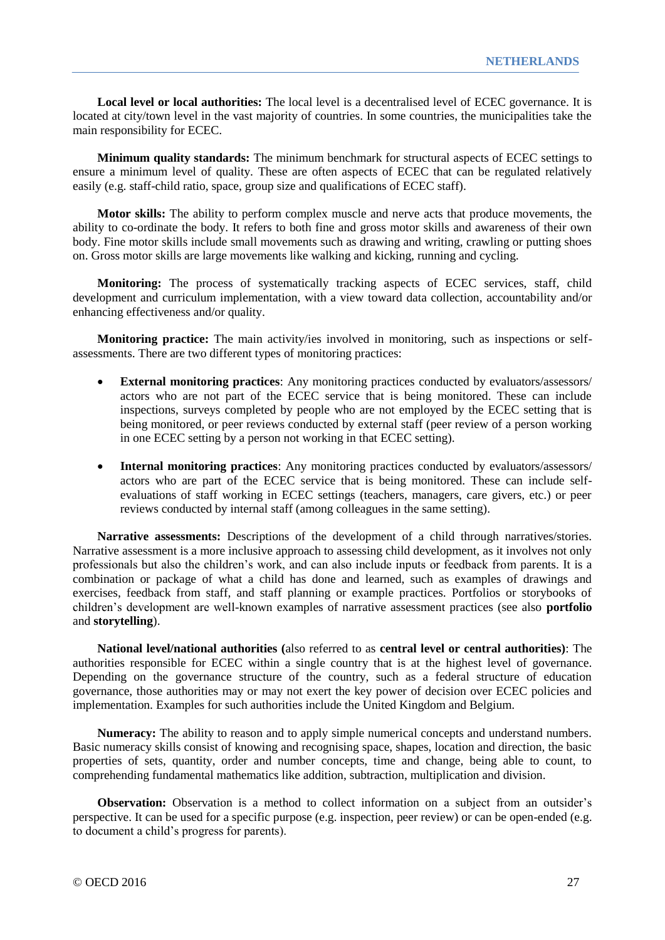**Local level or local authorities:** The local level is a decentralised level of ECEC governance. It is located at city/town level in the vast majority of countries. In some countries, the municipalities take the main responsibility for ECEC.

**Minimum quality standards:** The minimum benchmark for structural aspects of ECEC settings to ensure a minimum level of quality. These are often aspects of ECEC that can be regulated relatively easily (e.g. staff-child ratio, space, group size and qualifications of ECEC staff).

**Motor skills:** The ability to perform complex muscle and nerve acts that produce movements, the ability to co-ordinate the body. It refers to both fine and gross motor skills and awareness of their own body. Fine motor skills include small movements such as drawing and writing, crawling or putting shoes on. Gross motor skills are large movements like walking and kicking, running and cycling.

**Monitoring:** The process of systematically tracking aspects of ECEC services, staff, child development and curriculum implementation, with a view toward data collection, accountability and/or enhancing effectiveness and/or quality.

**Monitoring practice:** The main activity/ies involved in monitoring, such as inspections or selfassessments. There are two different types of monitoring practices:

- **External monitoring practices**: Any monitoring practices conducted by evaluators/assessors/ actors who are not part of the ECEC service that is being monitored. These can include inspections, surveys completed by people who are not employed by the ECEC setting that is being monitored, or peer reviews conducted by external staff (peer review of a person working in one ECEC setting by a person not working in that ECEC setting).
- **Internal monitoring practices**: Any monitoring practices conducted by evaluators/assessors/ actors who are part of the ECEC service that is being monitored. These can include selfevaluations of staff working in ECEC settings (teachers, managers, care givers, etc.) or peer reviews conducted by internal staff (among colleagues in the same setting).

**Narrative assessments:** Descriptions of the development of a child through narratives/stories. Narrative assessment is a more inclusive approach to assessing child development, as it involves not only professionals but also the children's work, and can also include inputs or feedback from parents. It is a combination or package of what a child has done and learned, such as examples of drawings and exercises, feedback from staff, and staff planning or example practices. Portfolios or storybooks of children's development are well-known examples of narrative assessment practices (see also **portfolio** and **storytelling**).

**National level/national authorities (**also referred to as **central level or central authorities)**: The authorities responsible for ECEC within a single country that is at the highest level of governance. Depending on the governance structure of the country, such as a federal structure of education governance, those authorities may or may not exert the key power of decision over ECEC policies and implementation. Examples for such authorities include the United Kingdom and Belgium.

**Numeracy:** The ability to reason and to apply simple numerical concepts and understand numbers. Basic numeracy skills consist of knowing and recognising space, shapes, location and direction, the basic properties of sets, quantity, order and number concepts, time and change, being able to count, to comprehending fundamental mathematics like addition, subtraction, multiplication and division.

**Observation:** Observation is a method to collect information on a subject from an outsider's perspective. It can be used for a specific purpose (e.g. inspection, peer review) or can be open-ended (e.g. to document a child's progress for parents).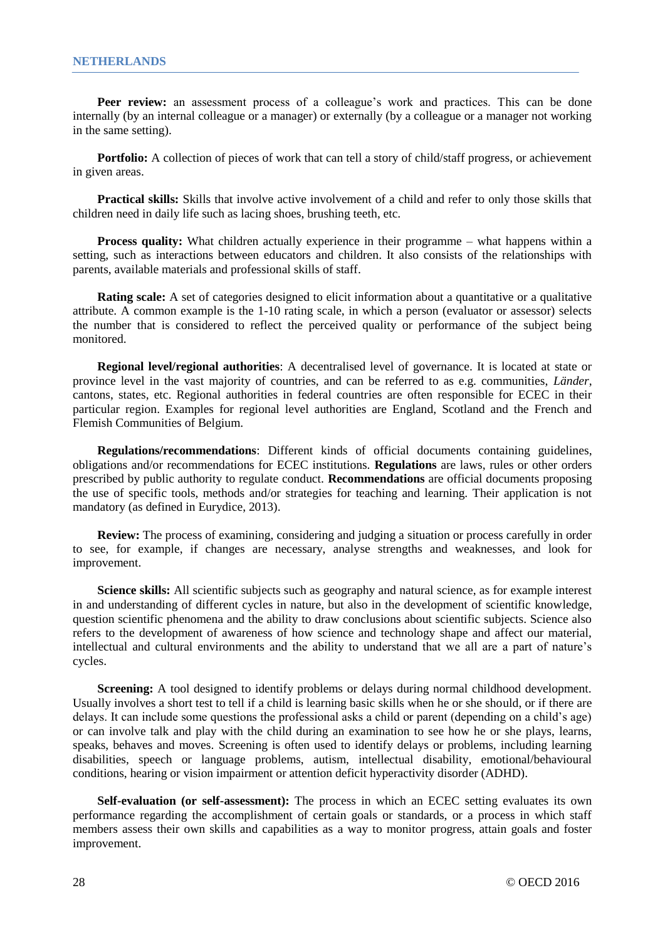**Peer review:** an assessment process of a colleague's work and practices. This can be done internally (by an internal colleague or a manager) or externally (by a colleague or a manager not working in the same setting).

**Portfolio:** A collection of pieces of work that can tell a story of child/staff progress, or achievement in given areas.

**Practical skills:** Skills that involve active involvement of a child and refer to only those skills that children need in daily life such as lacing shoes, brushing teeth, etc.

**Process quality:** What children actually experience in their programme – what happens within a setting, such as interactions between educators and children. It also consists of the relationships with parents, available materials and professional skills of staff.

**Rating scale:** A set of categories designed to elicit information about a quantitative or a qualitative attribute. A common example is the 1-10 rating scale, in which a person (evaluator or assessor) selects the number that is considered to reflect the perceived quality or performance of the subject being monitored.

**Regional level/regional authorities**: A decentralised level of governance. It is located at state or province level in the vast majority of countries, and can be referred to as e.g. communities, *Länder*, cantons, states, etc. Regional authorities in federal countries are often responsible for ECEC in their particular region. Examples for regional level authorities are England, Scotland and the French and Flemish Communities of Belgium.

**Regulations/recommendations**: Different kinds of official documents containing guidelines, obligations and/or recommendations for ECEC institutions. **Regulations** are laws, rules or other orders prescribed by public authority to regulate conduct. **Recommendations** are official documents proposing the use of specific tools, methods and/or strategies for teaching and learning. Their application is not mandatory (as defined in Eurydice, 2013).

**Review:** The process of examining, considering and judging a situation or process carefully in order to see, for example, if changes are necessary, analyse strengths and weaknesses, and look for improvement.

**Science skills:** All scientific subjects such as geography and natural science, as for example interest in and understanding of different cycles in nature, but also in the development of scientific knowledge, question scientific phenomena and the ability to draw conclusions about scientific subjects. Science also refers to the development of awareness of how science and technology shape and affect our material, intellectual and cultural environments and the ability to understand that we all are a part of nature's cycles.

**Screening:** A tool designed to identify problems or delays during normal childhood development. Usually involves a short test to tell if a child is learning basic skills when he or she should, or if there are delays. It can include some questions the professional asks a child or parent (depending on a child's age) or can involve talk and play with the child during an examination to see how he or she plays, learns, speaks, behaves and moves. Screening is often used to identify delays or problems, including learning disabilities, speech or language problems, autism, intellectual disability, emotional/behavioural conditions, hearing or vision impairment or attention deficit hyperactivity disorder (ADHD).

**Self-evaluation (or self-assessment):** The process in which an ECEC setting evaluates its own performance regarding the accomplishment of certain goals or standards, or a process in which staff members assess their own skills and capabilities as a way to monitor progress, attain goals and foster improvement.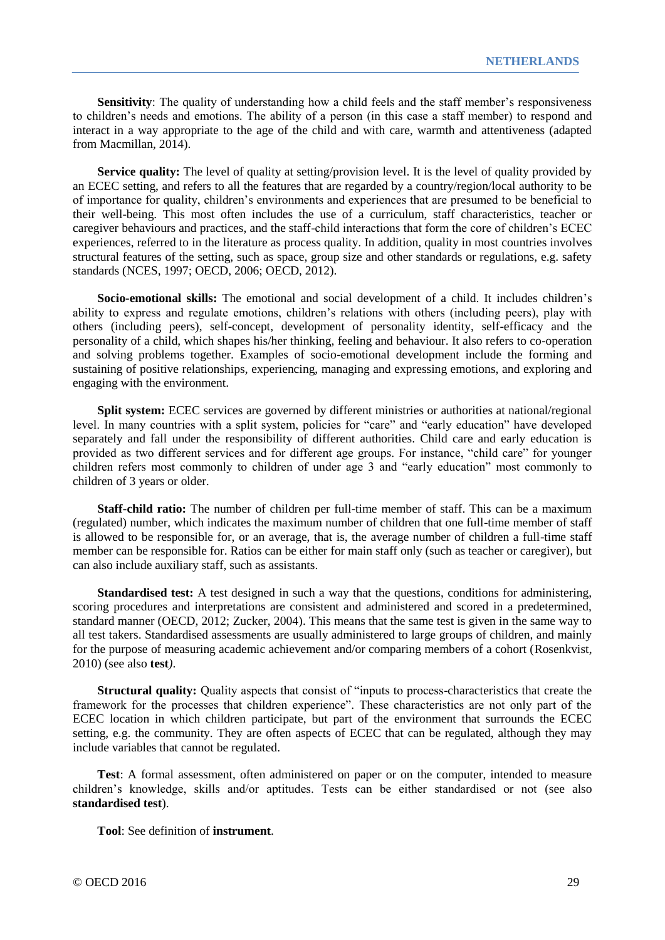**Sensitivity**: The quality of understanding how a child feels and the staff member's responsiveness to children's needs and emotions. The ability of a person (in this case a staff member) to respond and interact in a way appropriate to the age of the child and with care, warmth and attentiveness (adapted from Macmillan, 2014).

**Service quality:** The level of quality at setting/provision level. It is the level of quality provided by an ECEC setting, and refers to all the features that are regarded by a country/region/local authority to be of importance for quality, children's environments and experiences that are presumed to be beneficial to their well-being. This most often includes the use of a curriculum, staff characteristics, teacher or caregiver behaviours and practices, and the staff-child interactions that form the core of children's ECEC experiences, referred to in the literature as process quality. In addition, quality in most countries involves structural features of the setting, such as space, group size and other standards or regulations, e.g. safety standards (NCES, 1997; OECD, 2006; OECD, 2012).

**Socio-emotional skills:** The emotional and social development of a child. It includes children's ability to express and regulate emotions, children's relations with others (including peers), play with others (including peers), self-concept, development of personality identity, self-efficacy and the personality of a child, which shapes his/her thinking, feeling and behaviour. It also refers to co-operation and solving problems together. Examples of socio-emotional development include the forming and sustaining of positive relationships, experiencing, managing and expressing emotions, and exploring and engaging with the environment.

**Split system:** ECEC services are governed by different ministries or authorities at national/regional level. In many countries with a split system, policies for "care" and "early education" have developed separately and fall under the responsibility of different authorities. Child care and early education is provided as two different services and for different age groups. For instance, "child care" for younger children refers most commonly to children of under age 3 and "early education" most commonly to children of 3 years or older.

**Staff-child ratio:** The number of children per full-time member of staff. This can be a maximum (regulated) number, which indicates the maximum number of children that one full-time member of staff is allowed to be responsible for, or an average, that is, the average number of children a full-time staff member can be responsible for. Ratios can be either for main staff only (such as teacher or caregiver), but can also include auxiliary staff, such as assistants.

**Standardised test:** A test designed in such a way that the questions, conditions for administering, scoring procedures and interpretations are consistent and administered and scored in a predetermined, standard manner (OECD, 2012; Zucker, 2004). This means that the same test is given in the same way to all test takers. Standardised assessments are usually administered to large groups of children, and mainly for the purpose of measuring academic achievement and/or comparing members of a cohort (Rosenkvist, 2010) (see also **test***)*.

**Structural quality:** Quality aspects that consist of "inputs to process-characteristics that create the framework for the processes that children experience". These characteristics are not only part of the ECEC location in which children participate, but part of the environment that surrounds the ECEC setting, e.g. the community. They are often aspects of ECEC that can be regulated, although they may include variables that cannot be regulated.

**Test**: A formal assessment, often administered on paper or on the computer, intended to measure children's knowledge, skills and/or aptitudes. Tests can be either standardised or not (see also **standardised test**).

**Tool**: See definition of **instrument**.